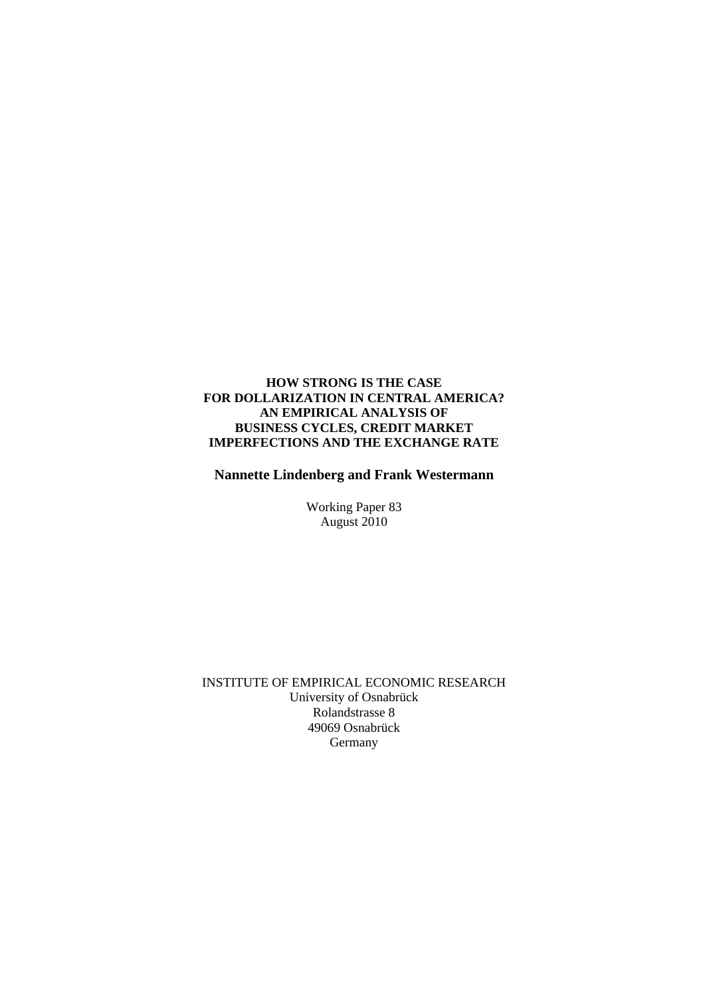## **HOW STRONG IS THE CASE FOR DOLLARIZATION IN CENTRAL AMERICA? AN EMPIRICAL ANALYSIS OF BUSINESS CYCLES, CREDIT MARKET IMPERFECTIONS AND THE EXCHANGE RATE**

 **Nannette Lindenberg and Frank Westermann** 

Working Paper 83 August 2010

 INSTITUTE OF EMPIRICAL ECONOMIC RESEARCH University of Osnabrück Rolandstrasse 8 49069 Osnabrück **Germany**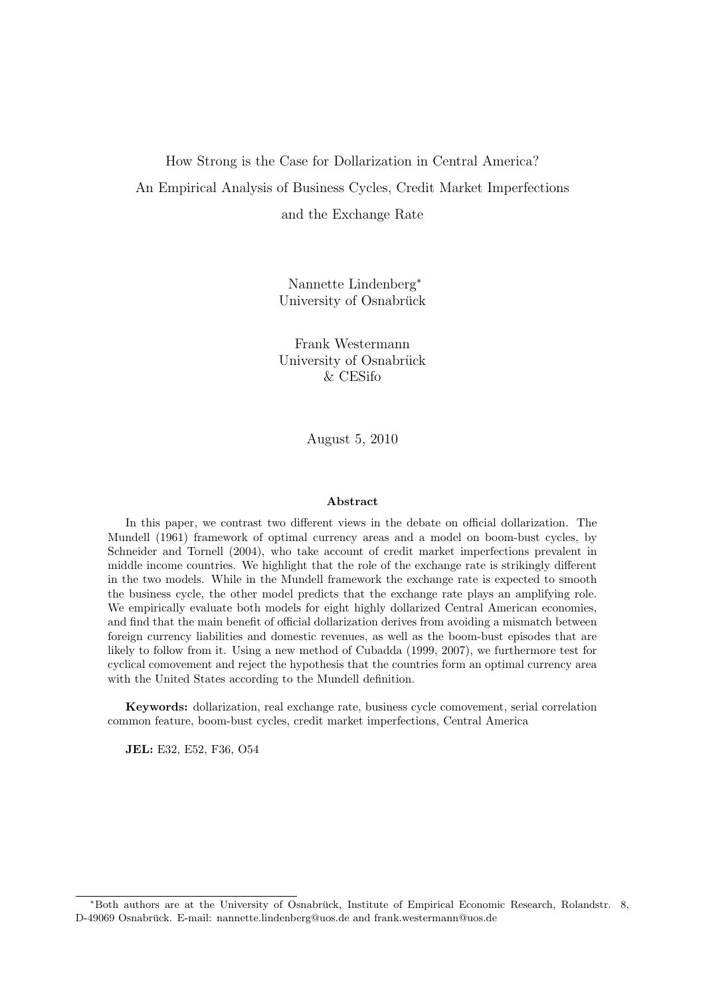### How Strong is the Case for Dollarization in Central America?

An Empirical Analysis of Business Cycles, Credit Market Imperfections

and the Exchange Rate

Nannette Lindenberg<sup>∗</sup> University of Osnabrück

Frank Westermann University of Osnabrück & CESifo

August 5, 2010

#### Abstract

In this paper, we contrast two different views in the debate on official dollarization. The Mundell (1961) framework of optimal currency areas and a model on boom-bust cycles, by Schneider and Tornell (2004), who take account of credit market imperfections prevalent in middle income countries. We highlight that the role of the exchange rate is strikingly different in the two models. While in the Mundell framework the exchange rate is expected to smooth the business cycle, the other model predicts that the exchange rate plays an amplifying role. We empirically evaluate both models for eight highly dollarized Central American economies, and find that the main benefit of official dollarization derives from avoiding a mismatch between foreign currency liabilities and domestic revenues, as well as the boom-bust episodes that are likely to follow from it. Using a new method of Cubadda (1999, 2007), we furthermore test for cyclical comovement and reject the hypothesis that the countries form an optimal currency area with the United States according to the Mundell definition.

Keywords: dollarization, real exchange rate, business cycle comovement, serial correlation common feature, boom-bust cycles, credit market imperfections, Central America

JEL: E32, E52, F36, O54

<sup>∗</sup>Both authors are at the University of Osnabruck, Institute of Empirical Economic Research, Rolandstr. 8, ¨ D-49069 Osnabrück. E-mail: nannette.lindenberg@uos.de and frank.westermann@uos.de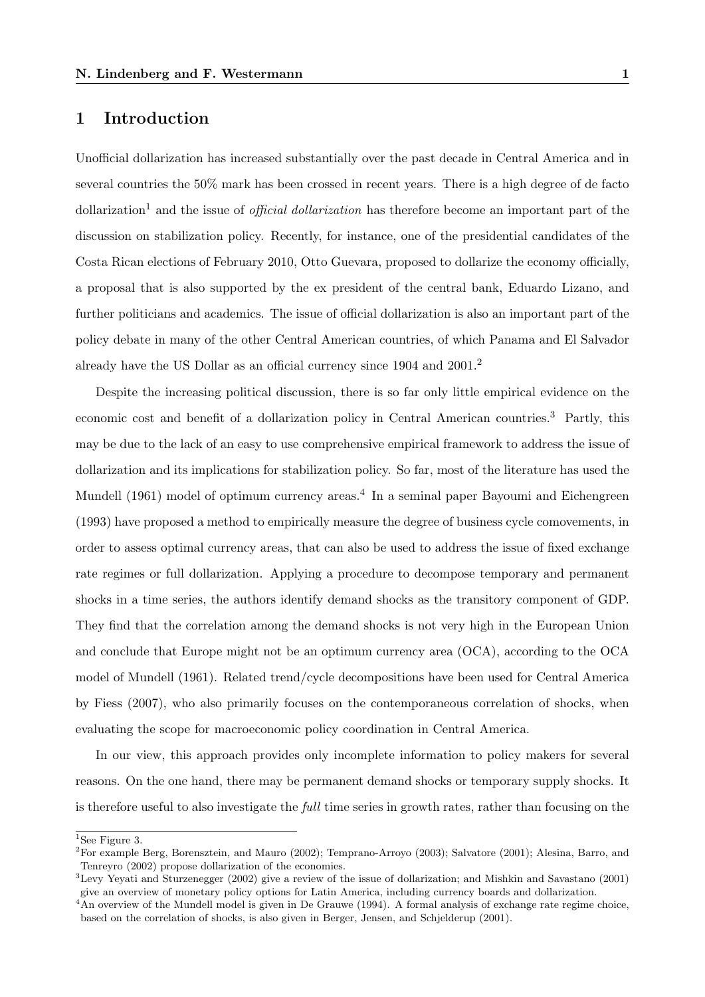## 1 Introduction

Unofficial dollarization has increased substantially over the past decade in Central America and in several countries the 50% mark has been crossed in recent years. There is a high degree of de facto dollarization<sup>1</sup> and the issue of *official dollarization* has therefore become an important part of the discussion on stabilization policy. Recently, for instance, one of the presidential candidates of the Costa Rican elections of February 2010, Otto Guevara, proposed to dollarize the economy officially, a proposal that is also supported by the ex president of the central bank, Eduardo Lizano, and further politicians and academics. The issue of official dollarization is also an important part of the policy debate in many of the other Central American countries, of which Panama and El Salvador already have the US Dollar as an official currency since 1904 and 2001.<sup>2</sup>

Despite the increasing political discussion, there is so far only little empirical evidence on the economic cost and benefit of a dollarization policy in Central American countries.<sup>3</sup> Partly, this may be due to the lack of an easy to use comprehensive empirical framework to address the issue of dollarization and its implications for stabilization policy. So far, most of the literature has used the Mundell (1961) model of optimum currency areas.<sup>4</sup> In a seminal paper Bayoumi and Eichengreen (1993) have proposed a method to empirically measure the degree of business cycle comovements, in order to assess optimal currency areas, that can also be used to address the issue of fixed exchange rate regimes or full dollarization. Applying a procedure to decompose temporary and permanent shocks in a time series, the authors identify demand shocks as the transitory component of GDP. They find that the correlation among the demand shocks is not very high in the European Union and conclude that Europe might not be an optimum currency area (OCA), according to the OCA model of Mundell (1961). Related trend/cycle decompositions have been used for Central America by Fiess (2007), who also primarily focuses on the contemporaneous correlation of shocks, when evaluating the scope for macroeconomic policy coordination in Central America.

In our view, this approach provides only incomplete information to policy makers for several reasons. On the one hand, there may be permanent demand shocks or temporary supply shocks. It is therefore useful to also investigate the *full* time series in growth rates, rather than focusing on the

 $1$ See Figure 3.

<sup>2</sup>For example Berg, Borensztein, and Mauro (2002); Temprano-Arroyo (2003); Salvatore (2001); Alesina, Barro, and Tenreyro (2002) propose dollarization of the economies.

<sup>3</sup>Levy Yeyati and Sturzenegger (2002) give a review of the issue of dollarization; and Mishkin and Savastano (2001) give an overview of monetary policy options for Latin America, including currency boards and dollarization.

 ${}^{4}$ An overview of the Mundell model is given in De Grauwe (1994). A formal analysis of exchange rate regime choice, based on the correlation of shocks, is also given in Berger, Jensen, and Schjelderup (2001).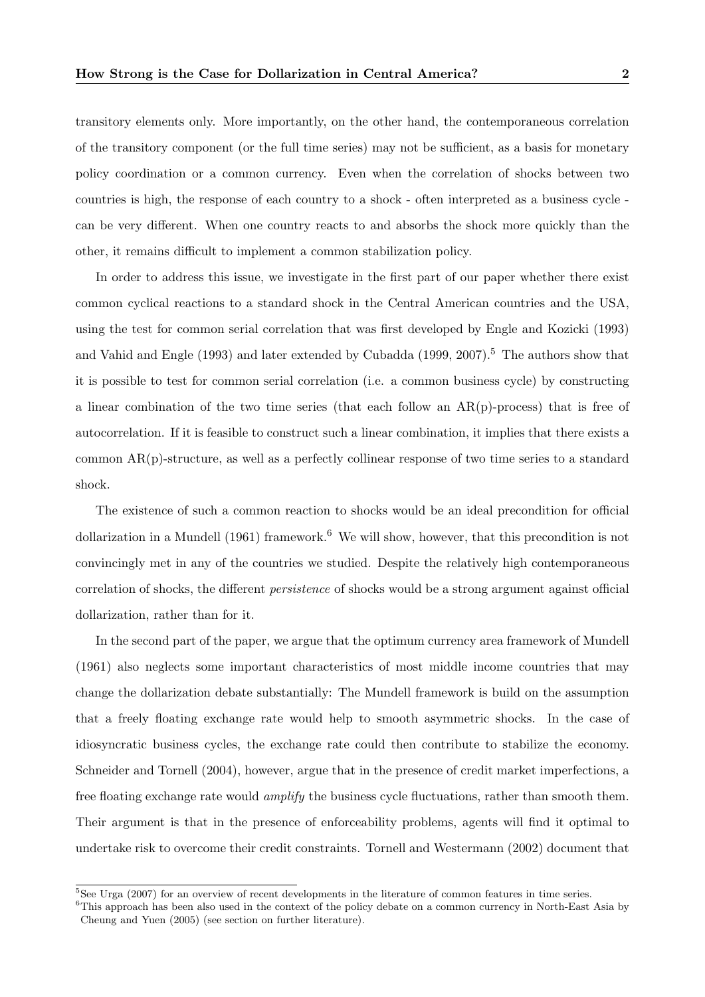transitory elements only. More importantly, on the other hand, the contemporaneous correlation of the transitory component (or the full time series) may not be sufficient, as a basis for monetary policy coordination or a common currency. Even when the correlation of shocks between two countries is high, the response of each country to a shock - often interpreted as a business cycle can be very different. When one country reacts to and absorbs the shock more quickly than the other, it remains difficult to implement a common stabilization policy.

In order to address this issue, we investigate in the first part of our paper whether there exist common cyclical reactions to a standard shock in the Central American countries and the USA, using the test for common serial correlation that was first developed by Engle and Kozicki (1993) and Vahid and Engle (1993) and later extended by Cubadda (1999, 2007).<sup>5</sup> The authors show that it is possible to test for common serial correlation (i.e. a common business cycle) by constructing a linear combination of the two time series (that each follow an AR(p)-process) that is free of autocorrelation. If it is feasible to construct such a linear combination, it implies that there exists a common AR(p)-structure, as well as a perfectly collinear response of two time series to a standard shock.

The existence of such a common reaction to shocks would be an ideal precondition for official dollarization in a Mundell (1961) framework.<sup>6</sup> We will show, however, that this precondition is not convincingly met in any of the countries we studied. Despite the relatively high contemporaneous correlation of shocks, the different persistence of shocks would be a strong argument against official dollarization, rather than for it.

In the second part of the paper, we argue that the optimum currency area framework of Mundell (1961) also neglects some important characteristics of most middle income countries that may change the dollarization debate substantially: The Mundell framework is build on the assumption that a freely floating exchange rate would help to smooth asymmetric shocks. In the case of idiosyncratic business cycles, the exchange rate could then contribute to stabilize the economy. Schneider and Tornell (2004), however, argue that in the presence of credit market imperfections, a free floating exchange rate would *amplify* the business cycle fluctuations, rather than smooth them. Their argument is that in the presence of enforceability problems, agents will find it optimal to undertake risk to overcome their credit constraints. Tornell and Westermann (2002) document that

<sup>&</sup>lt;sup>5</sup>See Urga (2007) for an overview of recent developments in the literature of common features in time series.

<sup>&</sup>lt;sup>6</sup>This approach has been also used in the context of the policy debate on a common currency in North-East Asia by Cheung and Yuen (2005) (see section on further literature).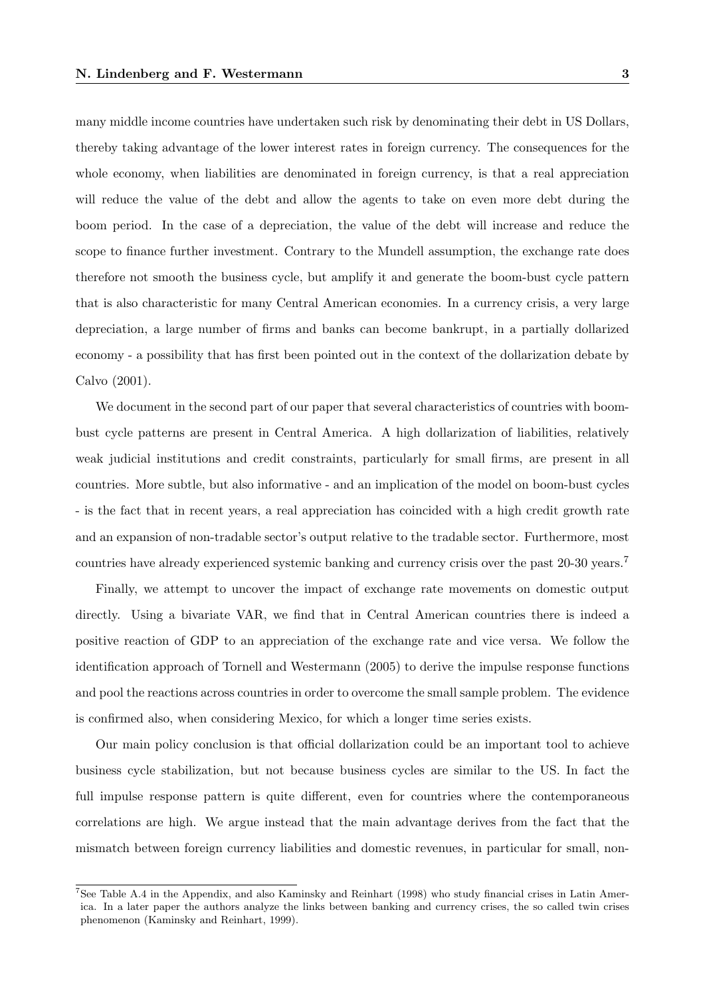many middle income countries have undertaken such risk by denominating their debt in US Dollars, thereby taking advantage of the lower interest rates in foreign currency. The consequences for the whole economy, when liabilities are denominated in foreign currency, is that a real appreciation will reduce the value of the debt and allow the agents to take on even more debt during the boom period. In the case of a depreciation, the value of the debt will increase and reduce the scope to finance further investment. Contrary to the Mundell assumption, the exchange rate does therefore not smooth the business cycle, but amplify it and generate the boom-bust cycle pattern that is also characteristic for many Central American economies. In a currency crisis, a very large depreciation, a large number of firms and banks can become bankrupt, in a partially dollarized economy - a possibility that has first been pointed out in the context of the dollarization debate by Calvo (2001).

We document in the second part of our paper that several characteristics of countries with boombust cycle patterns are present in Central America. A high dollarization of liabilities, relatively weak judicial institutions and credit constraints, particularly for small firms, are present in all countries. More subtle, but also informative - and an implication of the model on boom-bust cycles - is the fact that in recent years, a real appreciation has coincided with a high credit growth rate and an expansion of non-tradable sector's output relative to the tradable sector. Furthermore, most countries have already experienced systemic banking and currency crisis over the past 20-30 years.<sup>7</sup>

Finally, we attempt to uncover the impact of exchange rate movements on domestic output directly. Using a bivariate VAR, we find that in Central American countries there is indeed a positive reaction of GDP to an appreciation of the exchange rate and vice versa. We follow the identification approach of Tornell and Westermann (2005) to derive the impulse response functions and pool the reactions across countries in order to overcome the small sample problem. The evidence is confirmed also, when considering Mexico, for which a longer time series exists.

Our main policy conclusion is that official dollarization could be an important tool to achieve business cycle stabilization, but not because business cycles are similar to the US. In fact the full impulse response pattern is quite different, even for countries where the contemporaneous correlations are high. We argue instead that the main advantage derives from the fact that the mismatch between foreign currency liabilities and domestic revenues, in particular for small, non-

<sup>7</sup>See Table A.4 in the Appendix, and also Kaminsky and Reinhart (1998) who study financial crises in Latin America. In a later paper the authors analyze the links between banking and currency crises, the so called twin crises phenomenon (Kaminsky and Reinhart, 1999).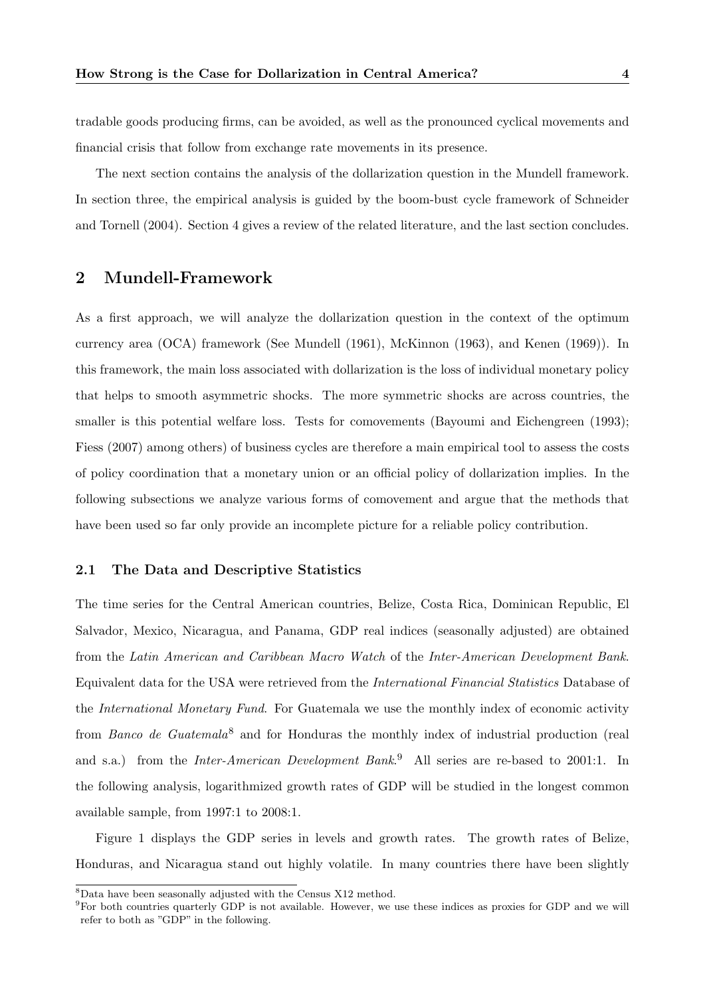tradable goods producing firms, can be avoided, as well as the pronounced cyclical movements and financial crisis that follow from exchange rate movements in its presence.

The next section contains the analysis of the dollarization question in the Mundell framework. In section three, the empirical analysis is guided by the boom-bust cycle framework of Schneider and Tornell (2004). Section 4 gives a review of the related literature, and the last section concludes.

# 2 Mundell-Framework

As a first approach, we will analyze the dollarization question in the context of the optimum currency area (OCA) framework (See Mundell (1961), McKinnon (1963), and Kenen (1969)). In this framework, the main loss associated with dollarization is the loss of individual monetary policy that helps to smooth asymmetric shocks. The more symmetric shocks are across countries, the smaller is this potential welfare loss. Tests for comovements (Bayoumi and Eichengreen (1993); Fiess (2007) among others) of business cycles are therefore a main empirical tool to assess the costs of policy coordination that a monetary union or an official policy of dollarization implies. In the following subsections we analyze various forms of comovement and argue that the methods that have been used so far only provide an incomplete picture for a reliable policy contribution.

### 2.1 The Data and Descriptive Statistics

The time series for the Central American countries, Belize, Costa Rica, Dominican Republic, El Salvador, Mexico, Nicaragua, and Panama, GDP real indices (seasonally adjusted) are obtained from the Latin American and Caribbean Macro Watch of the Inter-American Development Bank. Equivalent data for the USA were retrieved from the International Financial Statistics Database of the International Monetary Fund. For Guatemala we use the monthly index of economic activity from Banco de Guatemala<sup>8</sup> and for Honduras the monthly index of industrial production (real and s.a.) from the *Inter-American Development Bank*.<sup>9</sup> All series are re-based to 2001:1. In the following analysis, logarithmized growth rates of GDP will be studied in the longest common available sample, from 1997:1 to 2008:1.

Figure 1 displays the GDP series in levels and growth rates. The growth rates of Belize, Honduras, and Nicaragua stand out highly volatile. In many countries there have been slightly

 ${}^{8}$ Data have been seasonally adjusted with the Census X12 method.

<sup>&</sup>lt;sup>9</sup>For both countries quarterly GDP is not available. However, we use these indices as proxies for GDP and we will refer to both as "GDP" in the following.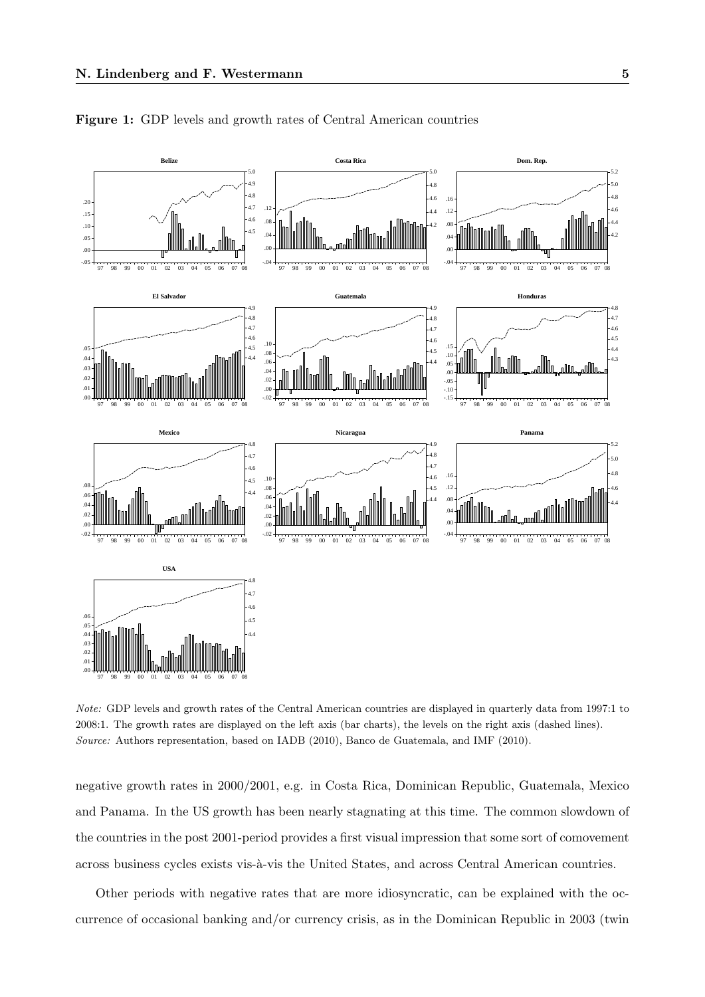

Figure 1: GDP levels and growth rates of Central American countries

Note: GDP levels and growth rates of the Central American countries are displayed in quarterly data from 1997:1 to 2008:1. The growth rates are displayed on the left axis (bar charts), the levels on the right axis (dashed lines). Source: Authors representation, based on IADB (2010), Banco de Guatemala, and IMF (2010).

negative growth rates in 2000/2001, e.g. in Costa Rica, Dominican Republic, Guatemala, Mexico and Panama. In the US growth has been nearly stagnating at this time. The common slowdown of the countries in the post 2001-period provides a first visual impression that some sort of comovement across business cycles exists vis-à-vis the United States, and across Central American countries.

Other periods with negative rates that are more idiosyncratic, can be explained with the occurrence of occasional banking and/or currency crisis, as in the Dominican Republic in 2003 (twin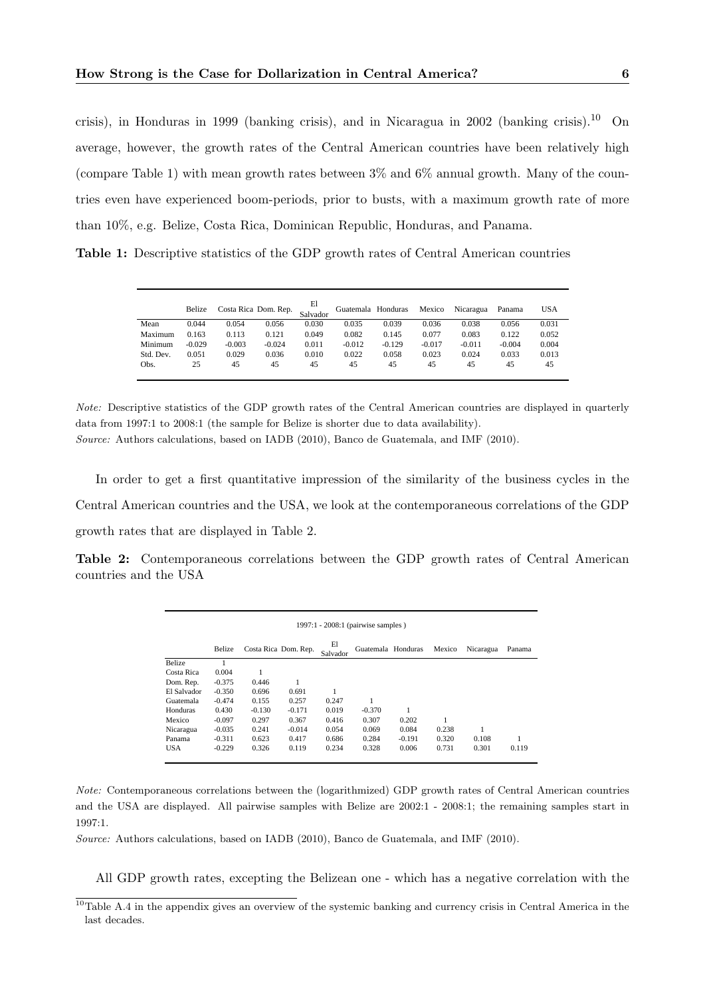crisis), in Honduras in 1999 (banking crisis), and in Nicaragua in 2002 (banking crisis).<sup>10</sup> On average, however, the growth rates of the Central American countries have been relatively high (compare Table 1) with mean growth rates between 3% and 6% annual growth. Many of the countries even have experienced boom-periods, prior to busts, with a maximum growth rate of more than 10%, e.g. Belize, Costa Rica, Dominican Republic, Honduras, and Panama.

Table 1: Descriptive statistics of the GDP growth rates of Central American countries

|           | Belize   |          | Costa Rica Dom. Rep. | El<br>Salvador | Guatemala Honduras |          | Mexico   | Nicaragua | Panama   | USA   |
|-----------|----------|----------|----------------------|----------------|--------------------|----------|----------|-----------|----------|-------|
| Mean      | 0.044    | 0.054    | 0.056                | 0.030          | 0.035              | 0.039    | 0.036    | 0.038     | 0.056    | 0.031 |
| Maximum   | 0.163    | 0.113    | 0.121                | 0.049          | 0.082              | 0.145    | 0.077    | 0.083     | 0.122    | 0.052 |
| Minimum   | $-0.029$ | $-0.003$ | $-0.024$             | 0.011          | $-0.012$           | $-0.129$ | $-0.017$ | $-0.011$  | $-0.004$ | 0.004 |
| Std. Dev. | 0.051    | 0.029    | 0.036                | 0.010          | 0.022              | 0.058    | 0.023    | 0.024     | 0.033    | 0.013 |
| Obs.      | 25       | 45       | 45                   | 45             | 45                 | 45       | 45       | 45        | 45       | 45    |
|           |          |          |                      |                |                    |          |          |           |          |       |

Note: Descriptive statistics of the GDP growth rates of the Central American countries are displayed in quarterly data from 1997:1 to 2008:1 (the sample for Belize is shorter due to data availability).

Source: Authors calculations, based on IADB (2010), Banco de Guatemala, and IMF (2010).

In order to get a first quantitative impression of the similarity of the business cycles in the Central American countries and the USA, we look at the contemporaneous correlations of the GDP growth rates that are displayed in Table 2.

Table 2: Contemporaneous correlations between the GDP growth rates of Central American countries and the USA

|             |          |          |                      |                | $1997:1 - 2008:1$ (pairwise samples) |          |        |           |        |
|-------------|----------|----------|----------------------|----------------|--------------------------------------|----------|--------|-----------|--------|
|             | Belize   |          | Costa Rica Dom. Rep. | El<br>Salvador | Guatemala Honduras                   |          | Mexico | Nicaragua | Panama |
| Belize      |          |          |                      |                |                                      |          |        |           |        |
| Costa Rica  | 0.004    |          |                      |                |                                      |          |        |           |        |
| Dom. Rep.   | $-0.375$ | 0.446    |                      |                |                                      |          |        |           |        |
| El Salvador | $-0.350$ | 0.696    | 0.691                |                |                                      |          |        |           |        |
| Guatemala   | $-0.474$ | 0.155    | 0.257                | 0.247          |                                      |          |        |           |        |
| Honduras    | 0.430    | $-0.130$ | $-0.171$             | 0.019          | $-0.370$                             |          |        |           |        |
| Mexico      | $-0.097$ | 0.297    | 0.367                | 0.416          | 0.307                                | 0.202    |        |           |        |
| Nicaragua   | $-0.035$ | 0.241    | $-0.014$             | 0.054          | 0.069                                | 0.084    | 0.238  |           |        |
| Panama      | $-0.311$ | 0.623    | 0.417                | 0.686          | 0.284                                | $-0.191$ | 0.320  | 0.108     |        |
| <b>USA</b>  | $-0.229$ | 0.326    | 0.119                | 0.234          | 0.328                                | 0.006    | 0.731  | 0.301     | 0.119  |

Note: Contemporaneous correlations between the (logarithmized) GDP growth rates of Central American countries and the USA are displayed. All pairwise samples with Belize are 2002:1 - 2008:1; the remaining samples start in 1997:1.

Source: Authors calculations, based on IADB (2010), Banco de Guatemala, and IMF (2010).

All GDP growth rates, excepting the Belizean one - which has a negative correlation with the

 $10$ Table A.4 in the appendix gives an overview of the systemic banking and currency crisis in Central America in the last decades.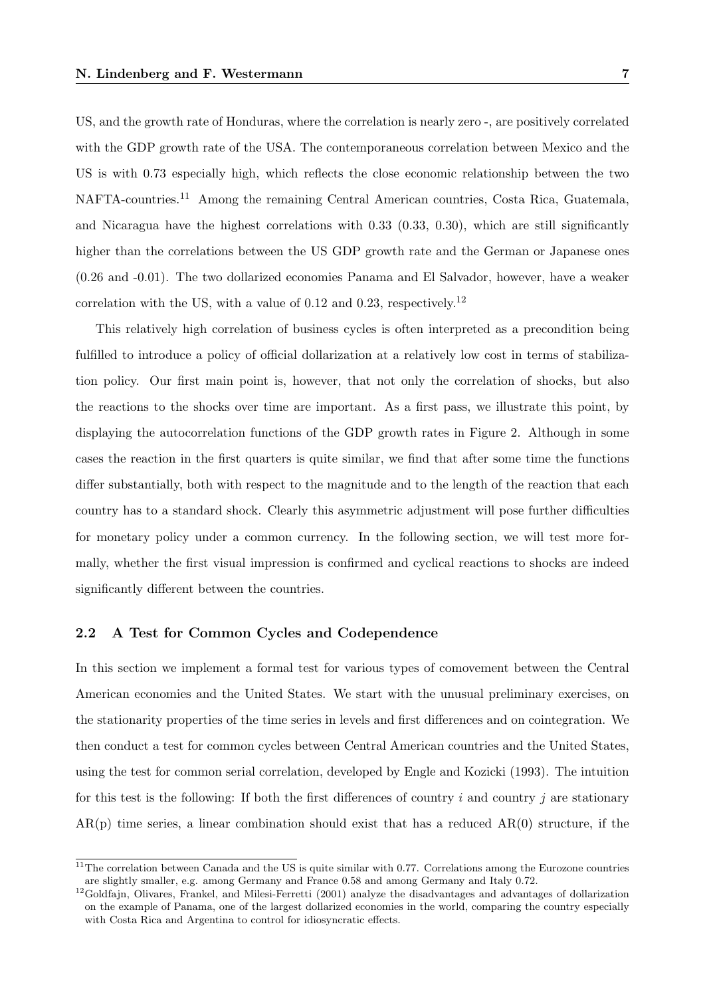US, and the growth rate of Honduras, where the correlation is nearly zero -, are positively correlated with the GDP growth rate of the USA. The contemporaneous correlation between Mexico and the US is with 0.73 especially high, which reflects the close economic relationship between the two NAFTA-countries.<sup>11</sup> Among the remaining Central American countries, Costa Rica, Guatemala, and Nicaragua have the highest correlations with 0.33 (0.33, 0.30), which are still significantly higher than the correlations between the US GDP growth rate and the German or Japanese ones (0.26 and -0.01). The two dollarized economies Panama and El Salvador, however, have a weaker correlation with the US, with a value of 0.12 and 0.23, respectively.<sup>12</sup>

This relatively high correlation of business cycles is often interpreted as a precondition being fulfilled to introduce a policy of official dollarization at a relatively low cost in terms of stabilization policy. Our first main point is, however, that not only the correlation of shocks, but also the reactions to the shocks over time are important. As a first pass, we illustrate this point, by displaying the autocorrelation functions of the GDP growth rates in Figure 2. Although in some cases the reaction in the first quarters is quite similar, we find that after some time the functions differ substantially, both with respect to the magnitude and to the length of the reaction that each country has to a standard shock. Clearly this asymmetric adjustment will pose further difficulties for monetary policy under a common currency. In the following section, we will test more formally, whether the first visual impression is confirmed and cyclical reactions to shocks are indeed significantly different between the countries.

## 2.2 A Test for Common Cycles and Codependence

In this section we implement a formal test for various types of comovement between the Central American economies and the United States. We start with the unusual preliminary exercises, on the stationarity properties of the time series in levels and first differences and on cointegration. We then conduct a test for common cycles between Central American countries and the United States, using the test for common serial correlation, developed by Engle and Kozicki (1993). The intuition for this test is the following: If both the first differences of country i and country i are stationary  $AR(p)$  time series, a linear combination should exist that has a reduced  $AR(0)$  structure, if the

 $\frac{11}{11}$ The correlation between Canada and the US is quite similar with 0.77. Correlations among the Eurozone countries are slightly smaller, e.g. among Germany and France 0.58 and among Germany and Italy 0.72.

 $12$ Goldfajn, Olivares, Frankel, and Milesi-Ferretti (2001) analyze the disadvantages and advantages of dollarization on the example of Panama, one of the largest dollarized economies in the world, comparing the country especially with Costa Rica and Argentina to control for idiosyncratic effects.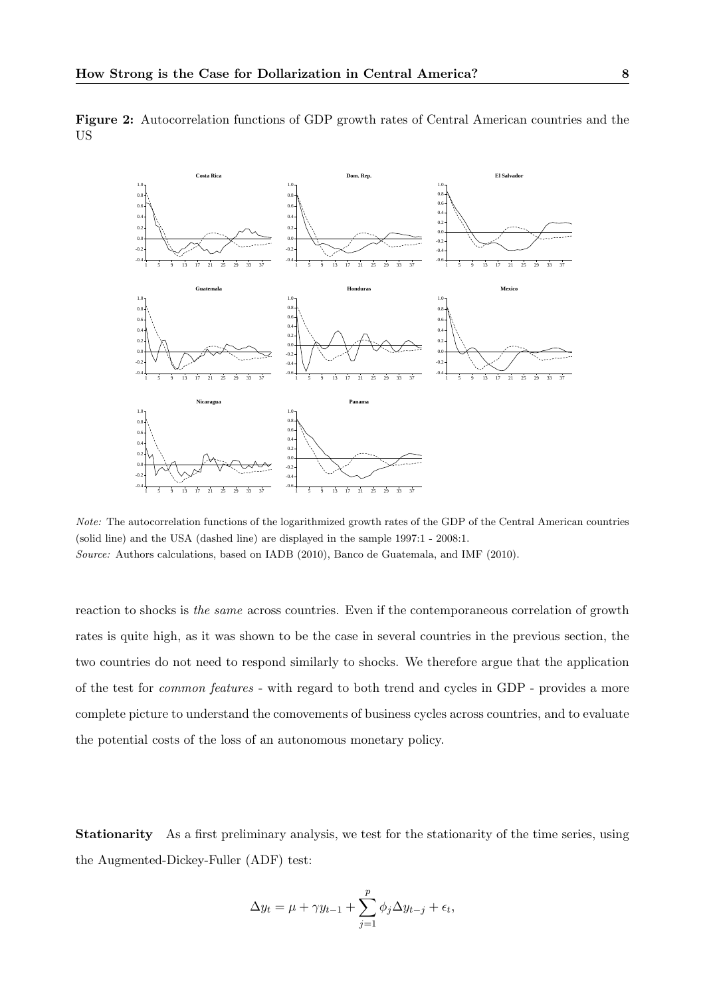

Figure 2: Autocorrelation functions of GDP growth rates of Central American countries and the US

Note: The autocorrelation functions of the logarithmized growth rates of the GDP of the Central American countries (solid line) and the USA (dashed line) are displayed in the sample 1997:1 - 2008:1. Source: Authors calculations, based on IADB (2010), Banco de Guatemala, and IMF (2010).

reaction to shocks is the same across countries. Even if the contemporaneous correlation of growth rates is quite high, as it was shown to be the case in several countries in the previous section, the two countries do not need to respond similarly to shocks. We therefore argue that the application of the test for common features - with regard to both trend and cycles in GDP - provides a more complete picture to understand the comovements of business cycles across countries, and to evaluate the potential costs of the loss of an autonomous monetary policy.

Stationarity As a first preliminary analysis, we test for the stationarity of the time series, using the Augmented-Dickey-Fuller (ADF) test:

$$
\Delta y_t = \mu + \gamma y_{t-1} + \sum_{j=1}^p \phi_j \Delta y_{t-j} + \epsilon_t,
$$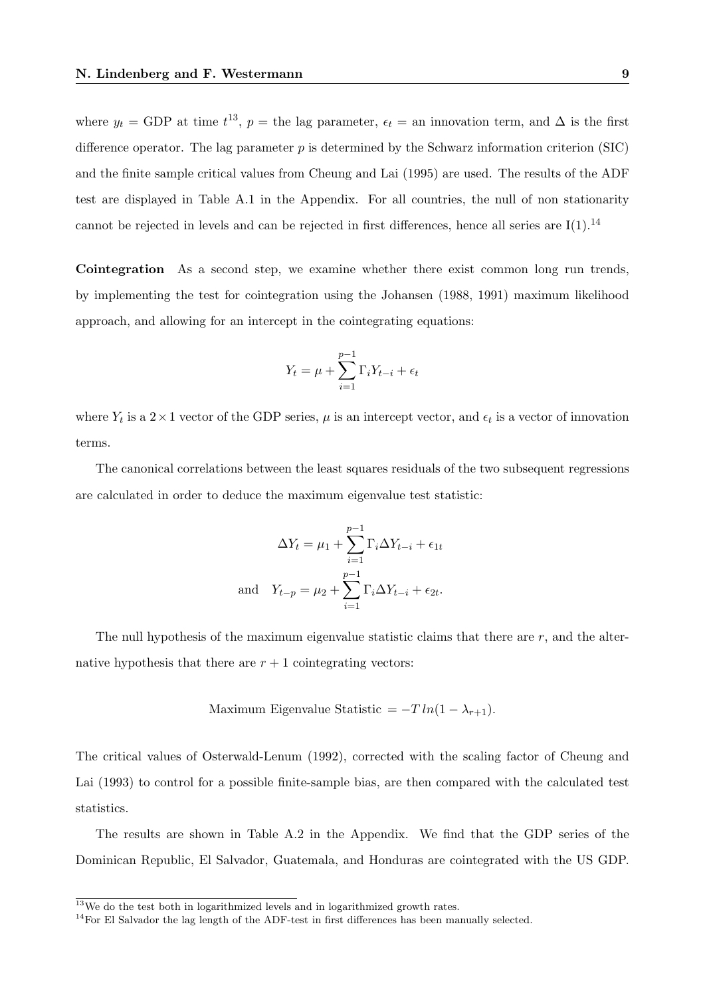where  $y_t = GDP$  at time  $t^{13}$ ,  $p =$  the lag parameter,  $\epsilon_t =$  an innovation term, and  $\Delta$  is the first difference operator. The lag parameter  $p$  is determined by the Schwarz information criterion (SIC) and the finite sample critical values from Cheung and Lai (1995) are used. The results of the ADF test are displayed in Table A.1 in the Appendix. For all countries, the null of non stationarity cannot be rejected in levels and can be rejected in first differences, hence all series are  $I(1).^{14}$ 

Cointegration As a second step, we examine whether there exist common long run trends, by implementing the test for cointegration using the Johansen (1988, 1991) maximum likelihood approach, and allowing for an intercept in the cointegrating equations:

$$
Y_t = \mu + \sum_{i=1}^{p-1} \Gamma_i Y_{t-i} + \epsilon_t
$$

where  $Y_t$  is a  $2 \times 1$  vector of the GDP series,  $\mu$  is an intercept vector, and  $\epsilon_t$  is a vector of innovation terms.

The canonical correlations between the least squares residuals of the two subsequent regressions are calculated in order to deduce the maximum eigenvalue test statistic:

$$
\Delta Y_t = \mu_1 + \sum_{i=1}^{p-1} \Gamma_i \Delta Y_{t-i} + \epsilon_{1t}
$$
  
and 
$$
Y_{t-p} = \mu_2 + \sum_{i=1}^{p-1} \Gamma_i \Delta Y_{t-i} + \epsilon_{2t}.
$$

The null hypothesis of the maximum eigenvalue statistic claims that there are  $r$ , and the alternative hypothesis that there are  $r + 1$  cointegrating vectors:

Maximum Eigenvalue Statistic = 
$$
-T \ln(1 - \lambda_{r+1})
$$
.

The critical values of Osterwald-Lenum (1992), corrected with the scaling factor of Cheung and Lai (1993) to control for a possible finite-sample bias, are then compared with the calculated test statistics.

The results are shown in Table A.2 in the Appendix. We find that the GDP series of the Dominican Republic, El Salvador, Guatemala, and Honduras are cointegrated with the US GDP.

 $13$ We do the test both in logarithmized levels and in logarithmized growth rates.

<sup>&</sup>lt;sup>14</sup>For El Salvador the lag length of the ADF-test in first differences has been manually selected.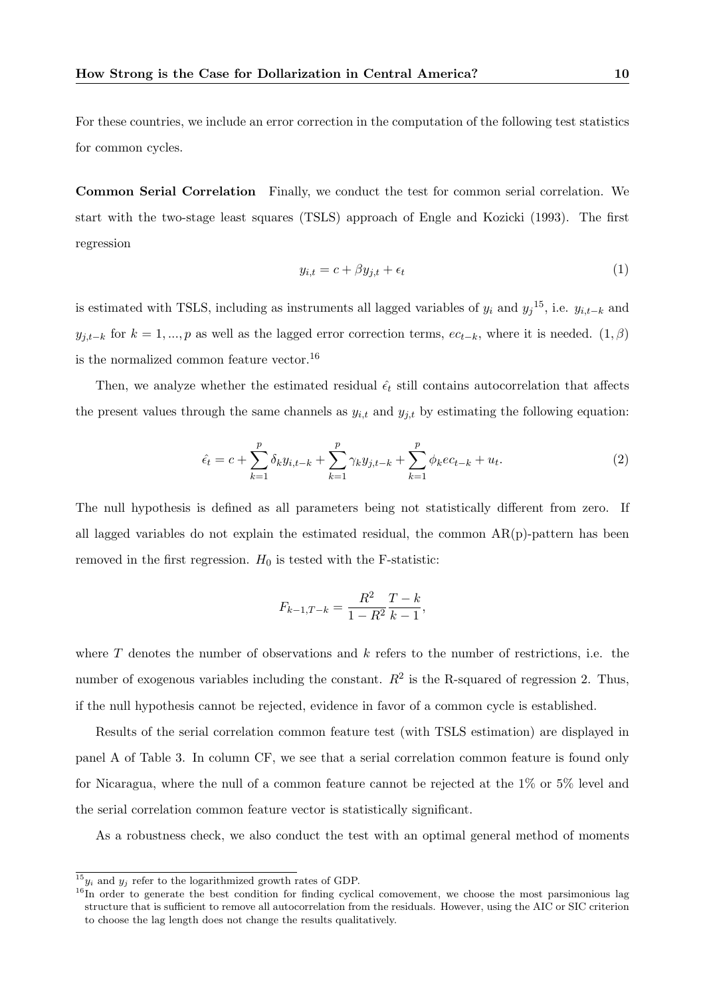For these countries, we include an error correction in the computation of the following test statistics for common cycles.

Common Serial Correlation Finally, we conduct the test for common serial correlation. We start with the two-stage least squares (TSLS) approach of Engle and Kozicki (1993). The first regression

$$
y_{i,t} = c + \beta y_{j,t} + \epsilon_t \tag{1}
$$

is estimated with TSLS, including as instruments all lagged variables of  $y_i$  and  $y_j^{15}$ , i.e.  $y_{i,t-k}$  and  $y_{j,t-k}$  for  $k = 1, ..., p$  as well as the lagged error correction terms,  $ec_{t-k}$ , where it is needed.  $(1, \beta)$ is the normalized common feature vector.<sup>16</sup>

Then, we analyze whether the estimated residual  $\hat{\epsilon}_t$  still contains autocorrelation that affects the present values through the same channels as  $y_{i,t}$  and  $y_{j,t}$  by estimating the following equation:

$$
\hat{\epsilon}_t = c + \sum_{k=1}^p \delta_k y_{i,t-k} + \sum_{k=1}^p \gamma_k y_{j,t-k} + \sum_{k=1}^p \phi_k e_{t-k} + u_t.
$$
\n(2)

The null hypothesis is defined as all parameters being not statistically different from zero. If all lagged variables do not explain the estimated residual, the common  $AR(p)$ -pattern has been removed in the first regression.  $H_0$  is tested with the F-statistic:

$$
F_{k-1,T-k} = \frac{R^2}{1 - R^2} \frac{T - k}{k - 1},
$$

where  $T$  denotes the number of observations and  $k$  refers to the number of restrictions, i.e. the number of exogenous variables including the constant.  $R^2$  is the R-squared of regression 2. Thus, if the null hypothesis cannot be rejected, evidence in favor of a common cycle is established.

Results of the serial correlation common feature test (with TSLS estimation) are displayed in panel A of Table 3. In column CF, we see that a serial correlation common feature is found only for Nicaragua, where the null of a common feature cannot be rejected at the 1% or 5% level and the serial correlation common feature vector is statistically significant.

As a robustness check, we also conduct the test with an optimal general method of moments

 $15y_i$  and  $y_j$  refer to the logarithmized growth rates of GDP.

<sup>&</sup>lt;sup>16</sup>In order to generate the best condition for finding cyclical comovement, we choose the most parsimonious lag structure that is sufficient to remove all autocorrelation from the residuals. However, using the AIC or SIC criterion to choose the lag length does not change the results qualitatively.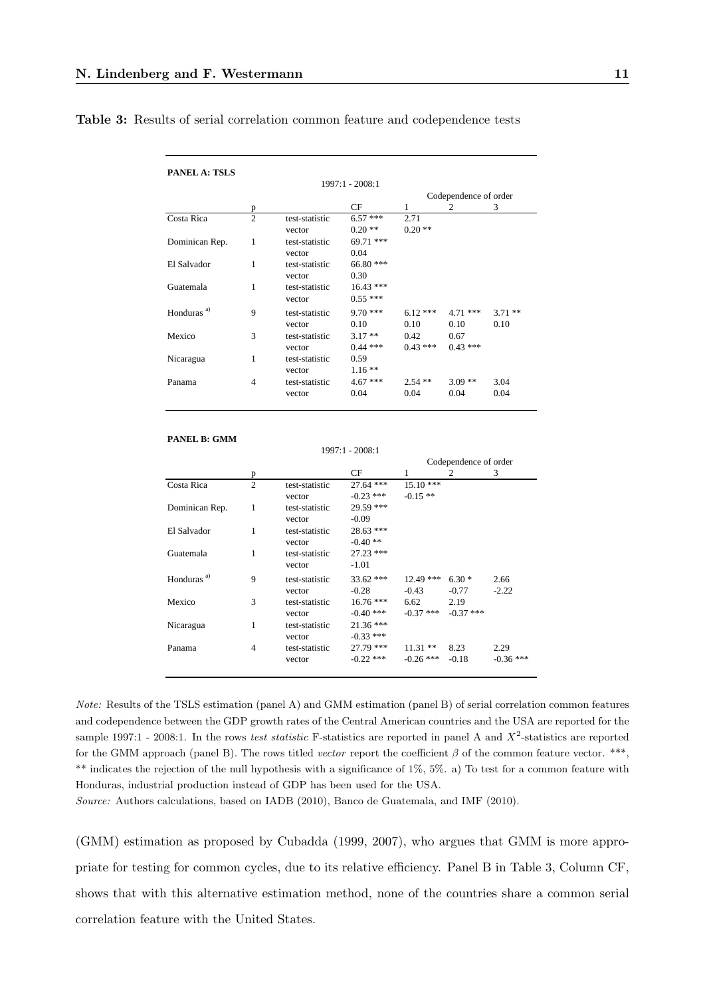### Table 3: Results of serial correlation common feature and codependence tests

| p              |                | CF                                                             | 1                                                                         | 2                                      | 3                                                  |
|----------------|----------------|----------------------------------------------------------------|---------------------------------------------------------------------------|----------------------------------------|----------------------------------------------------|
| $\overline{2}$ | test-statistic | $6.57***$                                                      | 2.71                                                                      |                                        |                                                    |
|                | vector         | $0.20**$                                                       | $0.20**$                                                                  |                                        |                                                    |
| 1              | test-statistic | 69.71 ***                                                      |                                                                           |                                        |                                                    |
|                | vector         | 0.04                                                           |                                                                           |                                        |                                                    |
| 1              | test-statistic | 66.80 ***                                                      |                                                                           |                                        |                                                    |
|                | vector         | 0.30                                                           |                                                                           |                                        |                                                    |
| 1              | test-statistic | $16.43***$                                                     |                                                                           |                                        |                                                    |
|                | vector         | $0.55***$                                                      |                                                                           |                                        |                                                    |
| 9              |                |                                                                |                                                                           |                                        | $3.71$ **                                          |
|                |                |                                                                |                                                                           |                                        | 0.10                                               |
|                |                |                                                                |                                                                           |                                        |                                                    |
|                |                |                                                                |                                                                           | $0.43***$                              |                                                    |
| 1              | test-statistic | 0.59                                                           |                                                                           |                                        |                                                    |
|                |                |                                                                |                                                                           |                                        |                                                    |
| 4              | test-statistic | $4.67***$                                                      | $2.54$ **                                                                 | $3.09**$                               | 3.04                                               |
|                | vector         | 0.04                                                           | 0.04                                                                      | 0.04                                   | 0.04                                               |
|                | 3              | test-statistic<br>vector<br>test-statistic<br>vector<br>vector | 1997:1 - 2008:1<br>$9.70***$<br>0.10<br>$3.17**$<br>$0.44***$<br>$1.16**$ | $6.12***$<br>0.10<br>0.42<br>$0.43***$ | Codependence of order<br>$4.71***$<br>0.10<br>0.67 |

#### **PANEL B: GMM**

 $1997:1 - 2008:1$ 

|                        |   |                |             |             | Codependence of order |             |
|------------------------|---|----------------|-------------|-------------|-----------------------|-------------|
|                        | p |                | CF          | 1           | 2                     | 3           |
| Costa Rica             | 2 | test-statistic | $27.64$ *** | $15.10***$  |                       |             |
|                        |   | vector         | $-0.23$ *** | $-0.15**$   |                       |             |
| Dominican Rep.         | 1 | test-statistic | 29.59 ***   |             |                       |             |
|                        |   | vector         | $-0.09$     |             |                       |             |
| El Salvador            | 1 | test-statistic | 28.63 ***   |             |                       |             |
|                        |   | vector         | $-0.40**$   |             |                       |             |
| Guatemala              | 1 | test-statistic | $27.23$ *** |             |                       |             |
|                        |   | vector         | $-1.01$     |             |                       |             |
| Honduras <sup>a)</sup> | 9 | test-statistic | $33.62$ *** | $12.49$ *** | $6.30*$               | 2.66        |
|                        |   | vector         | $-0.28$     | $-0.43$     | $-0.77$               | $-2.22$     |
| Mexico                 | 3 | test-statistic | $16.76***$  | 6.62        | 2.19                  |             |
|                        |   | vector         | $-0.40$ *** | $-0.37$ *** | $-0.37$ ***           |             |
| Nicaragua              | 1 | test-statistic | $21.36***$  |             |                       |             |
|                        |   | vector         | $-0.33$ *** |             |                       |             |
| Panama                 | 4 | test-statistic | 27.79 ***   | $11.31**$   | 8.23                  | 2.29        |
|                        |   | vector         | $-0.22$ *** | $-0.26$ *** | $-0.18$               | $-0.36$ *** |
|                        |   |                |             |             |                       |             |

Note: Results of the TSLS estimation (panel A) and GMM estimation (panel B) of serial correlation common features and codependence between the GDP growth rates of the Central American countries and the USA are reported for the sample 1997:1 - 2008:1. In the rows test statistic F-statistics are reported in panel A and  $X^2$ -statistics are reported for the GMM approach (panel B). The rows titled vector report the coefficient  $\beta$  of the common feature vector. \*\*\*, \*\* indicates the rejection of the null hypothesis with a significance of 1%, 5%. a) To test for a common feature with Honduras, industrial production instead of GDP has been used for the USA.

Source: Authors calculations, based on IADB (2010), Banco de Guatemala, and IMF (2010).

(GMM) estimation as proposed by Cubadda (1999, 2007), who argues that GMM is more appropriate for testing for common cycles, due to its relative efficiency. Panel B in Table 3, Column CF, shows that with this alternative estimation method, none of the countries share a common serial correlation feature with the United States.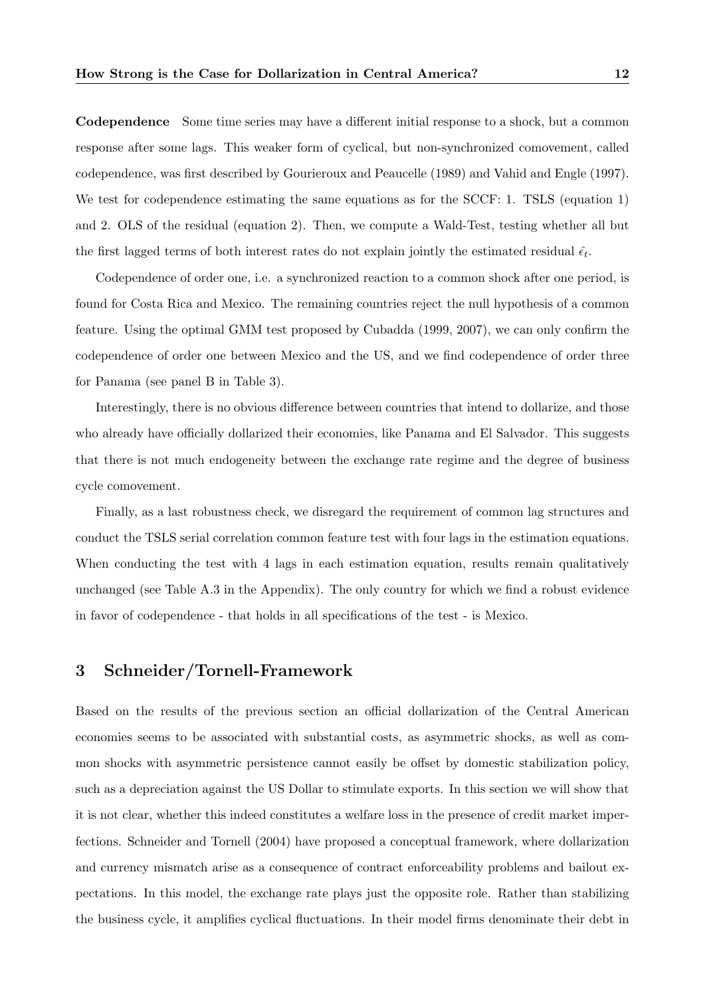Codependence Some time series may have a different initial response to a shock, but a common response after some lags. This weaker form of cyclical, but non-synchronized comovement, called codependence, was first described by Gourieroux and Peaucelle (1989) and Vahid and Engle (1997). We test for codependence estimating the same equations as for the SCCF: 1. TSLS (equation 1) and 2. OLS of the residual (equation 2). Then, we compute a Wald-Test, testing whether all but the first lagged terms of both interest rates do not explain jointly the estimated residual  $\hat{\epsilon}_t$ .

Codependence of order one, i.e. a synchronized reaction to a common shock after one period, is found for Costa Rica and Mexico. The remaining countries reject the null hypothesis of a common feature. Using the optimal GMM test proposed by Cubadda (1999, 2007), we can only confirm the codependence of order one between Mexico and the US, and we find codependence of order three for Panama (see panel B in Table 3).

Interestingly, there is no obvious difference between countries that intend to dollarize, and those who already have officially dollarized their economies, like Panama and El Salvador. This suggests that there is not much endogeneity between the exchange rate regime and the degree of business cycle comovement.

Finally, as a last robustness check, we disregard the requirement of common lag structures and conduct the TSLS serial correlation common feature test with four lags in the estimation equations. When conducting the test with 4 lags in each estimation equation, results remain qualitatively unchanged (see Table A.3 in the Appendix). The only country for which we find a robust evidence in favor of codependence - that holds in all specifications of the test - is Mexico.

# 3 Schneider/Tornell-Framework

Based on the results of the previous section an official dollarization of the Central American economies seems to be associated with substantial costs, as asymmetric shocks, as well as common shocks with asymmetric persistence cannot easily be offset by domestic stabilization policy, such as a depreciation against the US Dollar to stimulate exports. In this section we will show that it is not clear, whether this indeed constitutes a welfare loss in the presence of credit market imperfections. Schneider and Tornell (2004) have proposed a conceptual framework, where dollarization and currency mismatch arise as a consequence of contract enforceability problems and bailout expectations. In this model, the exchange rate plays just the opposite role. Rather than stabilizing the business cycle, it amplifies cyclical fluctuations. In their model firms denominate their debt in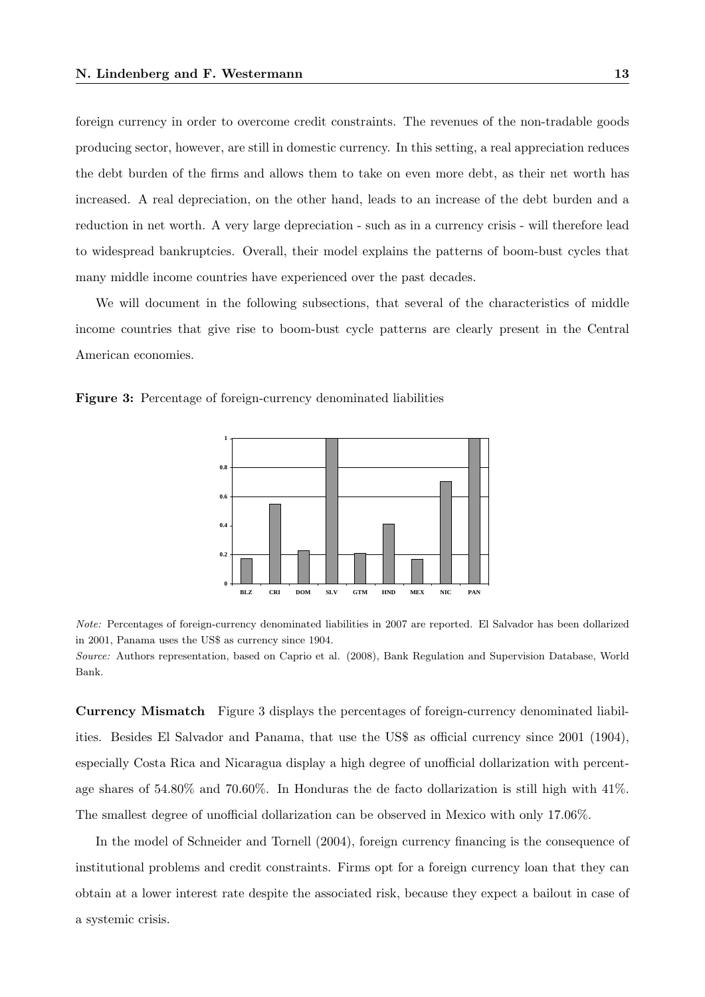foreign currency in order to overcome credit constraints. The revenues of the non-tradable goods producing sector, however, are still in domestic currency. In this setting, a real appreciation reduces the debt burden of the firms and allows them to take on even more debt, as their net worth has increased. A real depreciation, on the other hand, leads to an increase of the debt burden and a reduction in net worth. A very large depreciation - such as in a currency crisis - will therefore lead to widespread bankruptcies. Overall, their model explains the patterns of boom-bust cycles that many middle income countries have experienced over the past decades.

We will document in the following subsections, that several of the characteristics of middle income countries that give rise to boom-bust cycle patterns are clearly present in the Central American economies.





Note: Percentages of foreign-currency denominated liabilities in 2007 are reported. El Salvador has been dollarized in 2001, Panama uses the US\$ as currency since 1904.

Source: Authors representation, based on Caprio et al. (2008), Bank Regulation and Supervision Database, World Bank.

Currency Mismatch Figure 3 displays the percentages of foreign-currency denominated liabilities. Besides El Salvador and Panama, that use the US\$ as official currency since 2001 (1904), especially Costa Rica and Nicaragua display a high degree of unofficial dollarization with percentage shares of 54.80% and 70.60%. In Honduras the de facto dollarization is still high with 41%. The smallest degree of unofficial dollarization can be observed in Mexico with only 17.06%.

In the model of Schneider and Tornell (2004), foreign currency financing is the consequence of institutional problems and credit constraints. Firms opt for a foreign currency loan that they can obtain at a lower interest rate despite the associated risk, because they expect a bailout in case of a systemic crisis.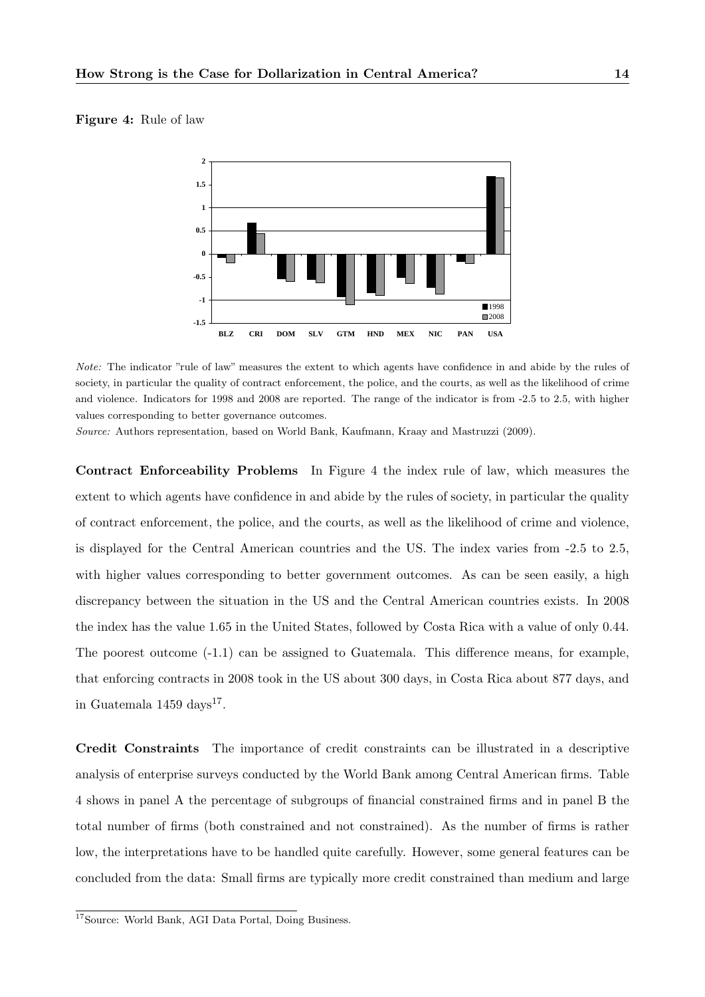#### Figure 4: Rule of law



Note: The indicator "rule of law" measures the extent to which agents have confidence in and abide by the rules of society, in particular the quality of contract enforcement, the police, and the courts, as well as the likelihood of crime and violence. Indicators for 1998 and 2008 are reported. The range of the indicator is from -2.5 to 2.5, with higher values corresponding to better governance outcomes.

Source: Authors representation, based on World Bank, Kaufmann, Kraay and Mastruzzi (2009).

Contract Enforceability Problems In Figure 4 the index rule of law, which measures the extent to which agents have confidence in and abide by the rules of society, in particular the quality of contract enforcement, the police, and the courts, as well as the likelihood of crime and violence, is displayed for the Central American countries and the US. The index varies from -2.5 to 2.5, with higher values corresponding to better government outcomes. As can be seen easily, a high discrepancy between the situation in the US and the Central American countries exists. In 2008 the index has the value 1.65 in the United States, followed by Costa Rica with a value of only 0.44. The poorest outcome (-1.1) can be assigned to Guatemala. This difference means, for example, that enforcing contracts in 2008 took in the US about 300 days, in Costa Rica about 877 days, and in Guatemala  $1459 \text{ days}^{17}$ .

Credit Constraints The importance of credit constraints can be illustrated in a descriptive analysis of enterprise surveys conducted by the World Bank among Central American firms. Table 4 shows in panel A the percentage of subgroups of financial constrained firms and in panel B the total number of firms (both constrained and not constrained). As the number of firms is rather low, the interpretations have to be handled quite carefully. However, some general features can be concluded from the data: Small firms are typically more credit constrained than medium and large

<sup>&</sup>lt;sup>17</sup>Source: World Bank, AGI Data Portal, Doing Business.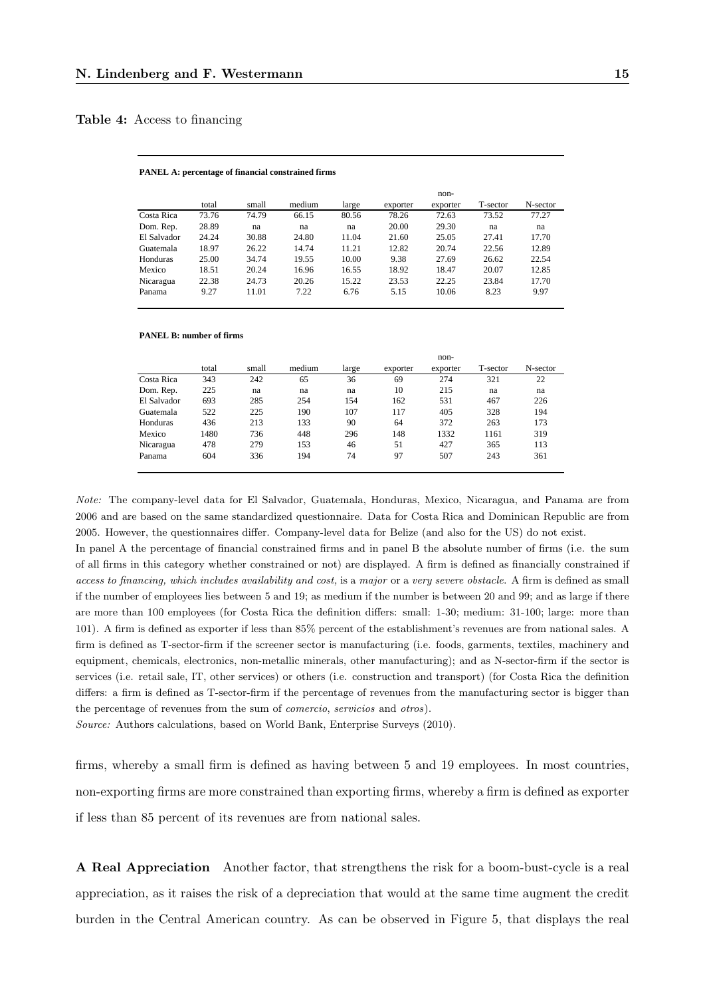#### Table 4: Access to financing

#### **PANEL A: percentage of financial constrained firms**

|             |       |       |        |       |          | non-     |          |          |
|-------------|-------|-------|--------|-------|----------|----------|----------|----------|
|             | total | small | medium | large | exporter | exporter | T-sector | N-sector |
| Costa Rica  | 73.76 | 74.79 | 66.15  | 80.56 | 78.26    | 72.63    | 73.52    | 77.27    |
| Dom. Rep.   | 28.89 | na    | na     | na    | 20.00    | 29.30    | na       | na       |
| El Salvador | 24.24 | 30.88 | 24.80  | 11.04 | 21.60    | 25.05    | 27.41    | 17.70    |
| Guatemala   | 18.97 | 26.22 | 14.74  | 11.21 | 12.82    | 20.74    | 22.56    | 12.89    |
| Honduras    | 25.00 | 34.74 | 19.55  | 10.00 | 9.38     | 27.69    | 26.62    | 22.54    |
| Mexico      | 18.51 | 20.24 | 16.96  | 16.55 | 18.92    | 18.47    | 20.07    | 12.85    |
| Nicaragua   | 22.38 | 24.73 | 20.26  | 15.22 | 23.53    | 22.25    | 23.84    | 17.70    |
| Panama      | 9.27  | 11.01 | 7.22   | 6.76  | 5.15     | 10.06    | 8.23     | 9.97     |

#### **PANEL B: number of firms**

|             |       |       |        |       |          | non-     |          |          |
|-------------|-------|-------|--------|-------|----------|----------|----------|----------|
|             | total | small | medium | large | exporter | exporter | T-sector | N-sector |
| Costa Rica  | 343   | 242   | 65     | 36    | 69       | 274      | 321      | 22       |
| Dom. Rep.   | 225   | na    | na     | na    | 10       | 215      | na       | na       |
| El Salvador | 693   | 285   | 254    | 154   | 162      | 531      | 467      | 226      |
| Guatemala   | 522   | 225   | 190    | 107   | 117      | 405      | 328      | 194      |
| Honduras    | 436   | 213   | 133    | 90    | 64       | 372      | 263      | 173      |
| Mexico      | 1480  | 736   | 448    | 296   | 148      | 1332     | 1161     | 319      |
| Nicaragua   | 478   | 279   | 153    | 46    | 51       | 427      | 365      | 113      |
| Panama      | 604   | 336   | 194    | 74    | 97       | 507      | 243      | 361      |

Note: The company-level data for El Salvador, Guatemala, Honduras, Mexico, Nicaragua, and Panama are from 2006 and are based on the same standardized questionnaire. Data for Costa Rica and Dominican Republic are from 2005. However, the questionnaires differ. Company-level data for Belize (and also for the US) do not exist.

In panel A the percentage of financial constrained firms and in panel B the absolute number of firms (i.e. the sum of all firms in this category whether constrained or not) are displayed. A firm is defined as financially constrained if access to financing, which includes availability and cost, is a major or a very severe obstacle. A firm is defined as small if the number of employees lies between 5 and 19; as medium if the number is between 20 and 99; and as large if there are more than 100 employees (for Costa Rica the definition differs: small: 1-30; medium: 31-100; large: more than 101). A firm is defined as exporter if less than 85% percent of the establishment's revenues are from national sales. A firm is defined as T-sector-firm if the screener sector is manufacturing (i.e. foods, garments, textiles, machinery and equipment, chemicals, electronics, non-metallic minerals, other manufacturing); and as N-sector-firm if the sector is services (i.e. retail sale, IT, other services) or others (i.e. construction and transport) (for Costa Rica the definition differs: a firm is defined as T-sector-firm if the percentage of revenues from the manufacturing sector is bigger than the percentage of revenues from the sum of comercio, servicios and otros).

Source: Authors calculations, based on World Bank, Enterprise Surveys (2010).

firms, whereby a small firm is defined as having between 5 and 19 employees. In most countries, non-exporting firms are more constrained than exporting firms, whereby a firm is defined as exporter if less than 85 percent of its revenues are from national sales.

A Real Appreciation Another factor, that strengthens the risk for a boom-bust-cycle is a real appreciation, as it raises the risk of a depreciation that would at the same time augment the credit burden in the Central American country. As can be observed in Figure 5, that displays the real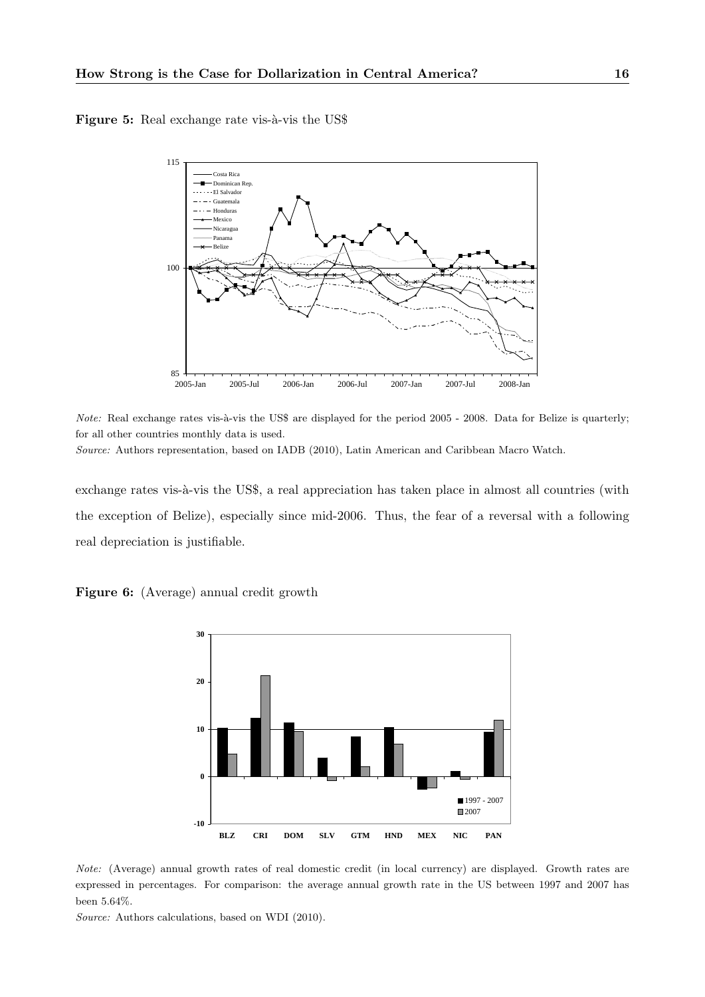Figure 5: Real exchange rate vis-à-vis the US\$



*Note:* Real exchange rates vis-à-vis the US\$ are displayed for the period  $2005$  -  $2008$ . Data for Belize is quarterly; for all other countries monthly data is used.

Source: Authors representation, based on IADB (2010), Latin American and Caribbean Macro Watch.

exchange rates vis-à-vis the US\$, a real appreciation has taken place in almost all countries (with the exception of Belize), especially since mid-2006. Thus, the fear of a reversal with a following real depreciation is justifiable.





Note: (Average) annual growth rates of real domestic credit (in local currency) are displayed. Growth rates are expressed in percentages. For comparison: the average annual growth rate in the US between 1997 and 2007 has been 5.64%.

Source: Authors calculations, based on WDI (2010).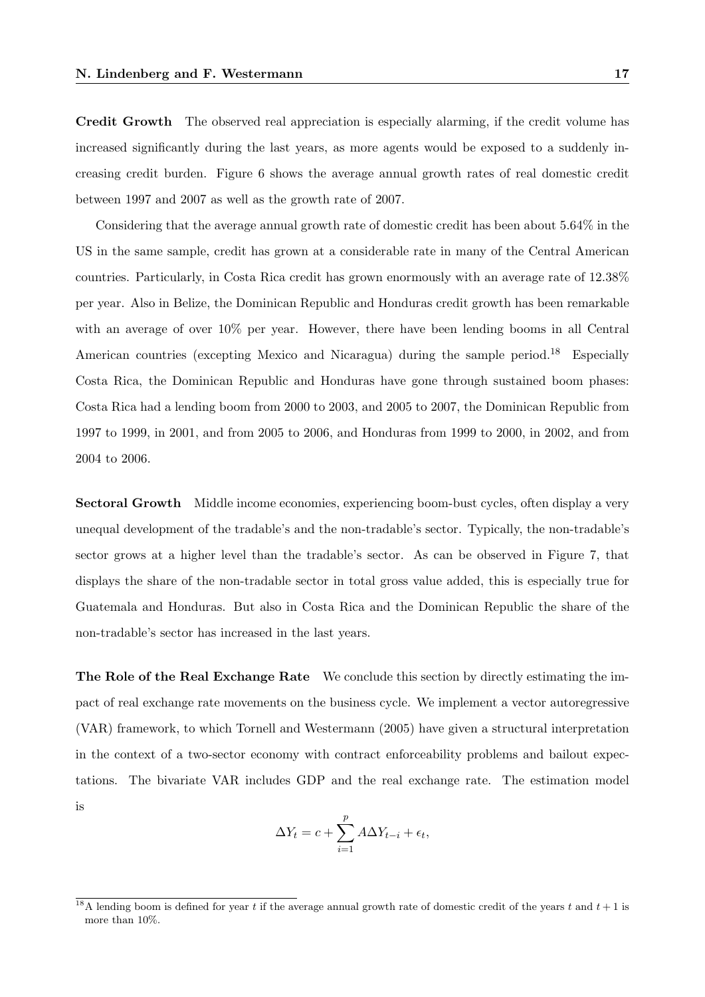Credit Growth The observed real appreciation is especially alarming, if the credit volume has increased significantly during the last years, as more agents would be exposed to a suddenly increasing credit burden. Figure 6 shows the average annual growth rates of real domestic credit between 1997 and 2007 as well as the growth rate of 2007.

Considering that the average annual growth rate of domestic credit has been about 5.64% in the US in the same sample, credit has grown at a considerable rate in many of the Central American countries. Particularly, in Costa Rica credit has grown enormously with an average rate of 12.38% per year. Also in Belize, the Dominican Republic and Honduras credit growth has been remarkable with an average of over 10% per year. However, there have been lending booms in all Central American countries (excepting Mexico and Nicaragua) during the sample period.<sup>18</sup> Especially Costa Rica, the Dominican Republic and Honduras have gone through sustained boom phases: Costa Rica had a lending boom from 2000 to 2003, and 2005 to 2007, the Dominican Republic from 1997 to 1999, in 2001, and from 2005 to 2006, and Honduras from 1999 to 2000, in 2002, and from 2004 to 2006.

Sectoral Growth Middle income economies, experiencing boom-bust cycles, often display a very unequal development of the tradable's and the non-tradable's sector. Typically, the non-tradable's sector grows at a higher level than the tradable's sector. As can be observed in Figure 7, that displays the share of the non-tradable sector in total gross value added, this is especially true for Guatemala and Honduras. But also in Costa Rica and the Dominican Republic the share of the non-tradable's sector has increased in the last years.

The Role of the Real Exchange Rate We conclude this section by directly estimating the impact of real exchange rate movements on the business cycle. We implement a vector autoregressive (VAR) framework, to which Tornell and Westermann (2005) have given a structural interpretation in the context of a two-sector economy with contract enforceability problems and bailout expectations. The bivariate VAR includes GDP and the real exchange rate. The estimation model is

$$
\Delta Y_t = c + \sum_{i=1}^p A \Delta Y_{t-i} + \epsilon_t,
$$

<sup>&</sup>lt;sup>18</sup>A lending boom is defined for year t if the average annual growth rate of domestic credit of the years t and  $t + 1$  is more than 10%.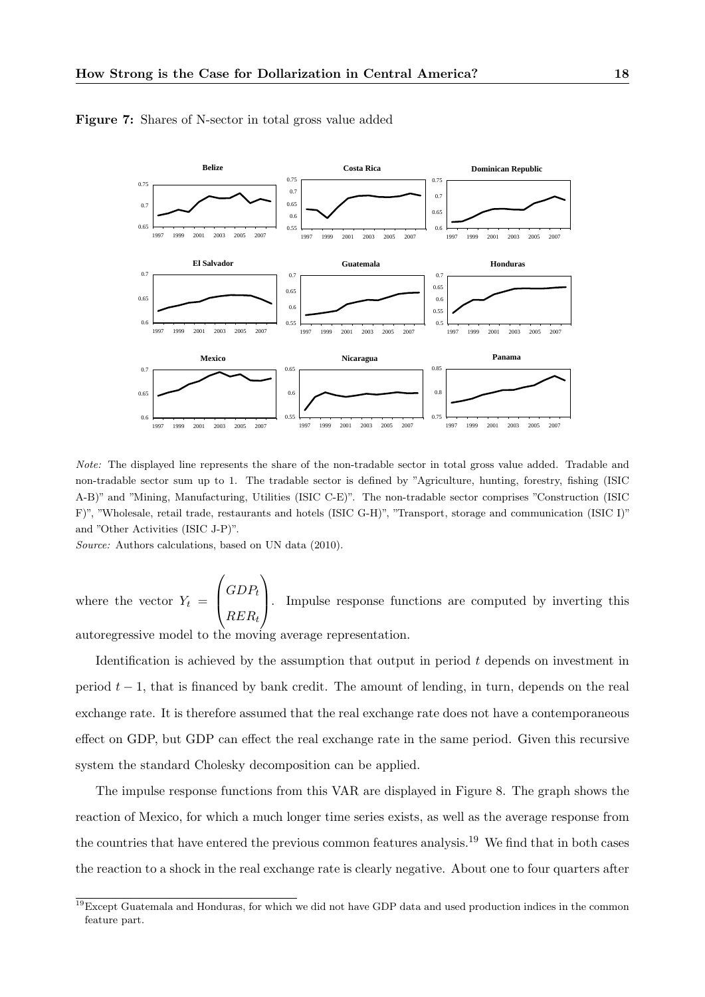

Figure 7: Shares of N-sector in total gross value added

Note: The displayed line represents the share of the non-tradable sector in total gross value added. Tradable and non-tradable sector sum up to 1. The tradable sector is defined by "Agriculture, hunting, forestry, fishing (ISIC A-B)" and "Mining, Manufacturing, Utilities (ISIC C-E)". The non-tradable sector comprises "Construction (ISIC F)", "Wholesale, retail trade, restaurants and hotels (ISIC G-H)", "Transport, storage and communication (ISIC I)" and "Other Activities (ISIC J-P)".

Source: Authors calculations, based on UN data (2010).

system the standard Cholesky decomposition can be applied.

where the vector  $Y_t =$  $\sqrt{ }$  $\overline{\mathcal{L}}$  $GDP_t$  $RER_t$  $\setminus$ . Impulse response functions are computed by inverting this autoregressive model to the moving average representation.

Identification is achieved by the assumption that output in period  $t$  depends on investment in period  $t - 1$ , that is financed by bank credit. The amount of lending, in turn, depends on the real exchange rate. It is therefore assumed that the real exchange rate does not have a contemporaneous effect on GDP, but GDP can effect the real exchange rate in the same period. Given this recursive

The impulse response functions from this VAR are displayed in Figure 8. The graph shows the reaction of Mexico, for which a much longer time series exists, as well as the average response from the countries that have entered the previous common features analysis.<sup>19</sup> We find that in both cases the reaction to a shock in the real exchange rate is clearly negative. About one to four quarters after

 $19$ Except Guatemala and Honduras, for which we did not have GDP data and used production indices in the common feature part.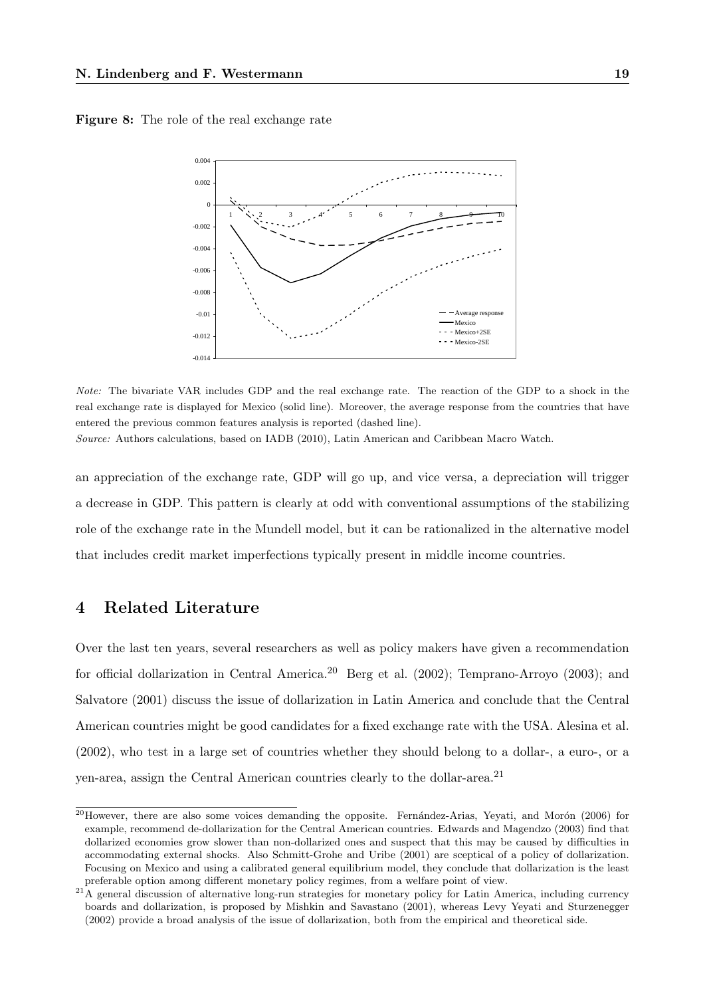Figure 8: The role of the real exchange rate



Note: The bivariate VAR includes GDP and the real exchange rate. The reaction of the GDP to a shock in the real exchange rate is displayed for Mexico (solid line). Moreover, the average response from the countries that have entered the previous common features analysis is reported (dashed line).

Source: Authors calculations, based on IADB (2010), Latin American and Caribbean Macro Watch.

an appreciation of the exchange rate, GDP will go up, and vice versa, a depreciation will trigger a decrease in GDP. This pattern is clearly at odd with conventional assumptions of the stabilizing role of the exchange rate in the Mundell model, but it can be rationalized in the alternative model that includes credit market imperfections typically present in middle income countries.

# 4 Related Literature

Over the last ten years, several researchers as well as policy makers have given a recommendation for official dollarization in Central America.<sup>20</sup> Berg et al. (2002); Temprano-Arroyo (2003); and Salvatore (2001) discuss the issue of dollarization in Latin America and conclude that the Central American countries might be good candidates for a fixed exchange rate with the USA. Alesina et al. (2002), who test in a large set of countries whether they should belong to a dollar-, a euro-, or a yen-area, assign the Central American countries clearly to the dollar-area.<sup>21</sup>

 $^{20}$ However, there are also some voices demanding the opposite. Fernández-Arias, Yeyati, and Morón (2006) for example, recommend de-dollarization for the Central American countries. Edwards and Magendzo (2003) find that dollarized economies grow slower than non-dollarized ones and suspect that this may be caused by difficulties in accommodating external shocks. Also Schmitt-Grohe and Uribe (2001) are sceptical of a policy of dollarization. Focusing on Mexico and using a calibrated general equilibrium model, they conclude that dollarization is the least preferable option among different monetary policy regimes, from a welfare point of view.

 $21A$  general discussion of alternative long-run strategies for monetary policy for Latin America, including currency boards and dollarization, is proposed by Mishkin and Savastano (2001), whereas Levy Yeyati and Sturzenegger (2002) provide a broad analysis of the issue of dollarization, both from the empirical and theoretical side.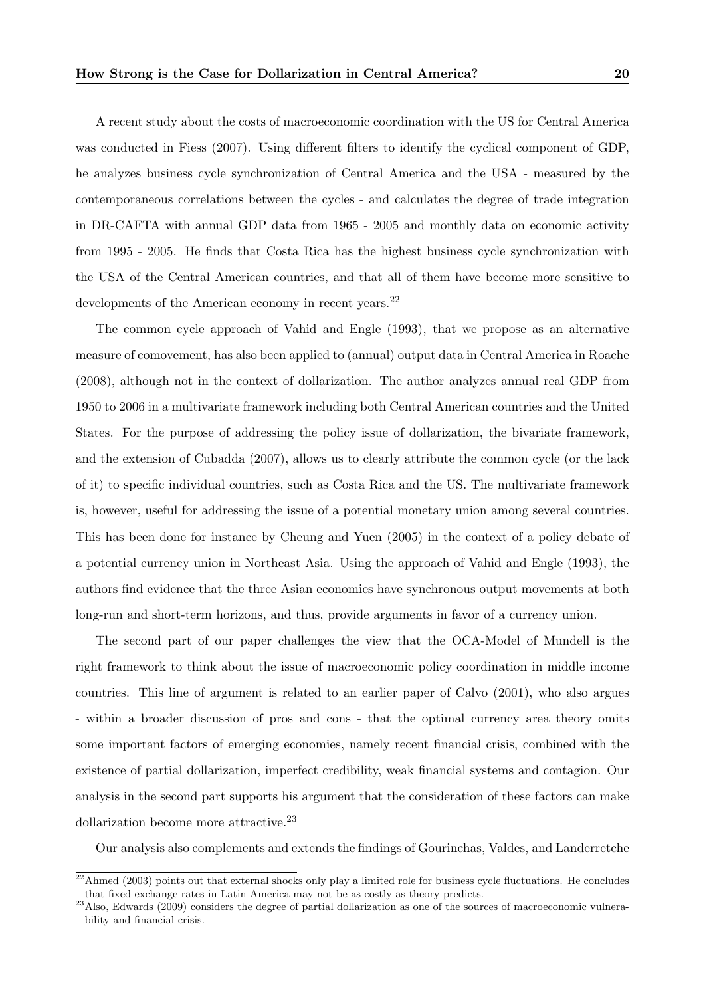A recent study about the costs of macroeconomic coordination with the US for Central America was conducted in Fiess (2007). Using different filters to identify the cyclical component of GDP, he analyzes business cycle synchronization of Central America and the USA - measured by the contemporaneous correlations between the cycles - and calculates the degree of trade integration in DR-CAFTA with annual GDP data from 1965 - 2005 and monthly data on economic activity from 1995 - 2005. He finds that Costa Rica has the highest business cycle synchronization with the USA of the Central American countries, and that all of them have become more sensitive to developments of the American economy in recent years.<sup>22</sup>

The common cycle approach of Vahid and Engle (1993), that we propose as an alternative measure of comovement, has also been applied to (annual) output data in Central America in Roache (2008), although not in the context of dollarization. The author analyzes annual real GDP from 1950 to 2006 in a multivariate framework including both Central American countries and the United States. For the purpose of addressing the policy issue of dollarization, the bivariate framework, and the extension of Cubadda (2007), allows us to clearly attribute the common cycle (or the lack of it) to specific individual countries, such as Costa Rica and the US. The multivariate framework is, however, useful for addressing the issue of a potential monetary union among several countries. This has been done for instance by Cheung and Yuen (2005) in the context of a policy debate of a potential currency union in Northeast Asia. Using the approach of Vahid and Engle (1993), the authors find evidence that the three Asian economies have synchronous output movements at both long-run and short-term horizons, and thus, provide arguments in favor of a currency union.

The second part of our paper challenges the view that the OCA-Model of Mundell is the right framework to think about the issue of macroeconomic policy coordination in middle income countries. This line of argument is related to an earlier paper of Calvo (2001), who also argues - within a broader discussion of pros and cons - that the optimal currency area theory omits some important factors of emerging economies, namely recent financial crisis, combined with the existence of partial dollarization, imperfect credibility, weak financial systems and contagion. Our analysis in the second part supports his argument that the consideration of these factors can make dollarization become more attractive.<sup>23</sup>

Our analysis also complements and extends the findings of Gourinchas, Valdes, and Landerretche

 $22$ Ahmed (2003) points out that external shocks only play a limited role for business cycle fluctuations. He concludes that fixed exchange rates in Latin America may not be as costly as theory predicts.

 $^{23}$ Also, Edwards (2009) considers the degree of partial dollarization as one of the sources of macroeconomic vulnerability and financial crisis.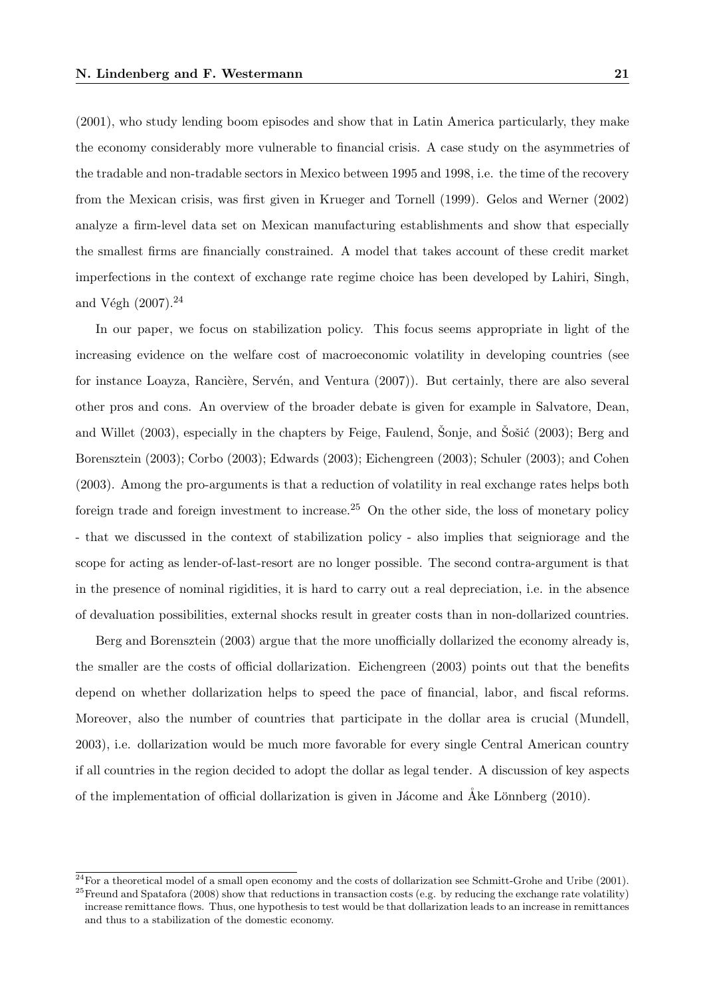(2001), who study lending boom episodes and show that in Latin America particularly, they make the economy considerably more vulnerable to financial crisis. A case study on the asymmetries of the tradable and non-tradable sectors in Mexico between 1995 and 1998, i.e. the time of the recovery from the Mexican crisis, was first given in Krueger and Tornell (1999). Gelos and Werner (2002) analyze a firm-level data set on Mexican manufacturing establishments and show that especially the smallest firms are financially constrained. A model that takes account of these credit market imperfections in the context of exchange rate regime choice has been developed by Lahiri, Singh, and Végh  $(2007).^{24}$ 

In our paper, we focus on stabilization policy. This focus seems appropriate in light of the increasing evidence on the welfare cost of macroeconomic volatility in developing countries (see for instance Loayza, Rancière, Servén, and Ventura (2007)). But certainly, there are also several other pros and cons. An overview of the broader debate is given for example in Salvatore, Dean, and Willet (2003), especially in the chapters by Feige, Faulend, Šonje, and Šošić (2003); Berg and Borensztein (2003); Corbo (2003); Edwards (2003); Eichengreen (2003); Schuler (2003); and Cohen (2003). Among the pro-arguments is that a reduction of volatility in real exchange rates helps both foreign trade and foreign investment to increase.<sup>25</sup> On the other side, the loss of monetary policy - that we discussed in the context of stabilization policy - also implies that seigniorage and the scope for acting as lender-of-last-resort are no longer possible. The second contra-argument is that in the presence of nominal rigidities, it is hard to carry out a real depreciation, i.e. in the absence of devaluation possibilities, external shocks result in greater costs than in non-dollarized countries.

Berg and Borensztein (2003) argue that the more unofficially dollarized the economy already is, the smaller are the costs of official dollarization. Eichengreen (2003) points out that the benefits depend on whether dollarization helps to speed the pace of financial, labor, and fiscal reforms. Moreover, also the number of countries that participate in the dollar area is crucial (Mundell, 2003), i.e. dollarization would be much more favorable for every single Central American country if all countries in the region decided to adopt the dollar as legal tender. A discussion of key aspects of the implementation of official dollarization is given in Jácome and  $\AA$ ke Lönnberg (2010).

 $\overline{^{24}$  For a theoretical model of a small open economy and the costs of dollarization see Schmitt-Grohe and Uribe (2001).  $^{25}$ Freund and Spatafora (2008) show that reductions in transaction costs (e.g. by reducing the exchange rate volatility) increase remittance flows. Thus, one hypothesis to test would be that dollarization leads to an increase in remittances and thus to a stabilization of the domestic economy.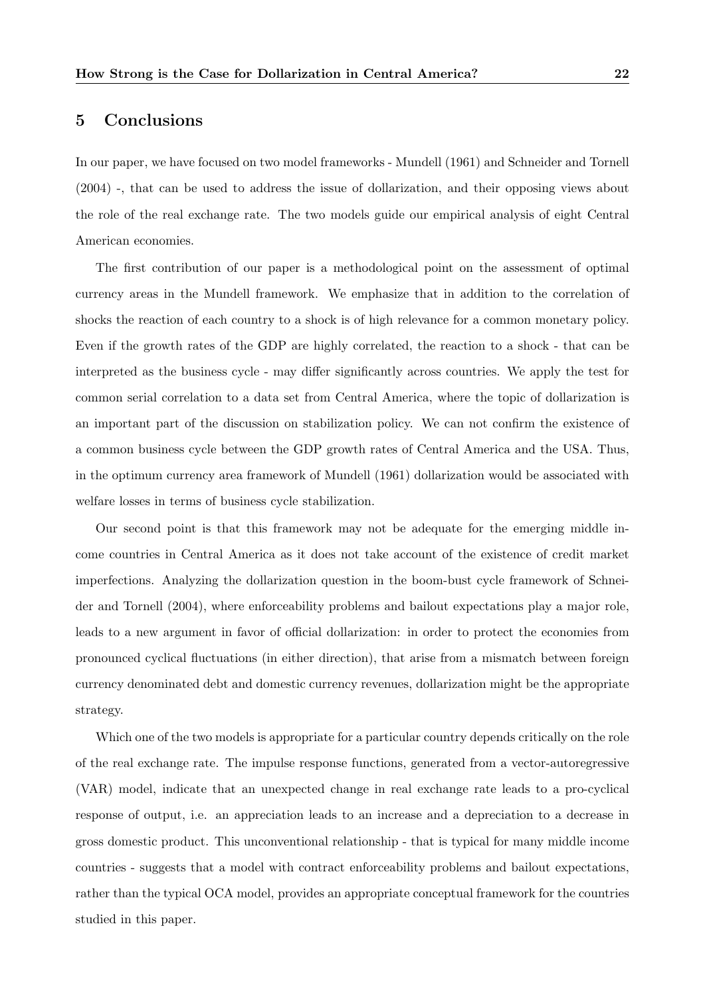# 5 Conclusions

In our paper, we have focused on two model frameworks - Mundell (1961) and Schneider and Tornell (2004) -, that can be used to address the issue of dollarization, and their opposing views about the role of the real exchange rate. The two models guide our empirical analysis of eight Central American economies.

The first contribution of our paper is a methodological point on the assessment of optimal currency areas in the Mundell framework. We emphasize that in addition to the correlation of shocks the reaction of each country to a shock is of high relevance for a common monetary policy. Even if the growth rates of the GDP are highly correlated, the reaction to a shock - that can be interpreted as the business cycle - may differ significantly across countries. We apply the test for common serial correlation to a data set from Central America, where the topic of dollarization is an important part of the discussion on stabilization policy. We can not confirm the existence of a common business cycle between the GDP growth rates of Central America and the USA. Thus, in the optimum currency area framework of Mundell (1961) dollarization would be associated with welfare losses in terms of business cycle stabilization.

Our second point is that this framework may not be adequate for the emerging middle income countries in Central America as it does not take account of the existence of credit market imperfections. Analyzing the dollarization question in the boom-bust cycle framework of Schneider and Tornell (2004), where enforceability problems and bailout expectations play a major role, leads to a new argument in favor of official dollarization: in order to protect the economies from pronounced cyclical fluctuations (in either direction), that arise from a mismatch between foreign currency denominated debt and domestic currency revenues, dollarization might be the appropriate strategy.

Which one of the two models is appropriate for a particular country depends critically on the role of the real exchange rate. The impulse response functions, generated from a vector-autoregressive (VAR) model, indicate that an unexpected change in real exchange rate leads to a pro-cyclical response of output, i.e. an appreciation leads to an increase and a depreciation to a decrease in gross domestic product. This unconventional relationship - that is typical for many middle income countries - suggests that a model with contract enforceability problems and bailout expectations, rather than the typical OCA model, provides an appropriate conceptual framework for the countries studied in this paper.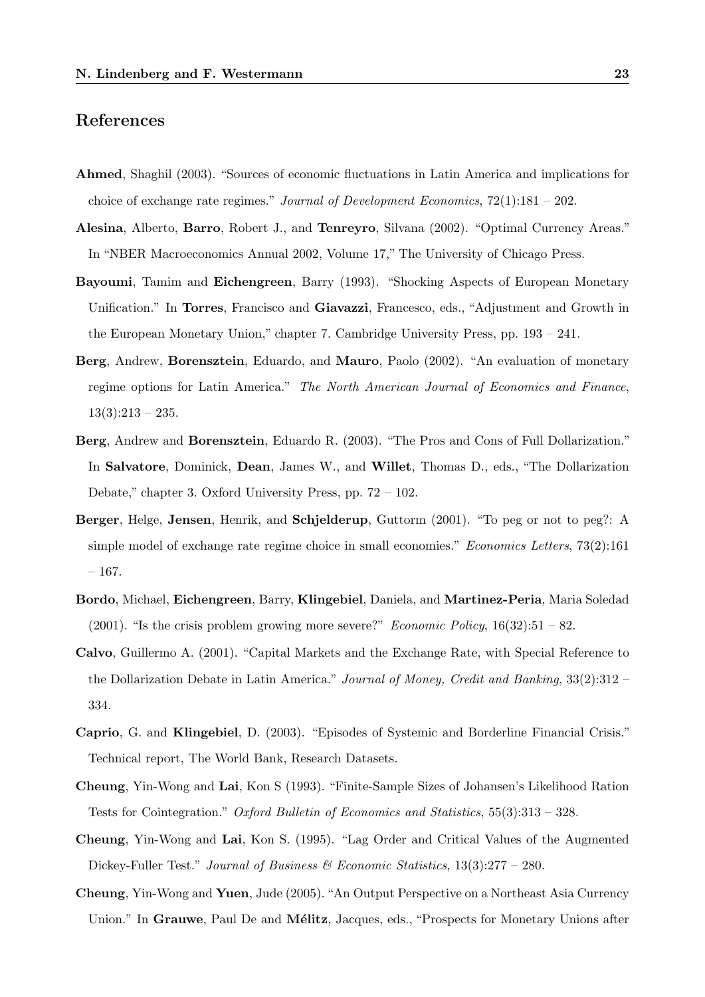# References

- Ahmed, Shaghil (2003). "Sources of economic fluctuations in Latin America and implications for choice of exchange rate regimes." Journal of Development Economics,  $72(1):181 - 202$ .
- Alesina, Alberto, Barro, Robert J., and Tenreyro, Silvana (2002). "Optimal Currency Areas." In "NBER Macroeconomics Annual 2002, Volume 17," The University of Chicago Press.
- Bayoumi, Tamim and Eichengreen, Barry (1993). "Shocking Aspects of European Monetary Unification." In Torres, Francisco and Giavazzi, Francesco, eds., "Adjustment and Growth in the European Monetary Union," chapter 7. Cambridge University Press, pp. 193 – 241.
- Berg, Andrew, Borensztein, Eduardo, and Mauro, Paolo (2002). "An evaluation of monetary regime options for Latin America." The North American Journal of Economics and Finance,  $13(3):213 - 235.$
- Berg, Andrew and Borensztein, Eduardo R. (2003). "The Pros and Cons of Full Dollarization." In Salvatore, Dominick, Dean, James W., and Willet, Thomas D., eds., "The Dollarization Debate," chapter 3. Oxford University Press, pp. 72 – 102.
- Berger, Helge, Jensen, Henrik, and Schjelderup, Guttorm (2001). "To peg or not to peg?: A simple model of exchange rate regime choice in small economies." Economics Letters, 73(2):161 – 167.
- Bordo, Michael, Eichengreen, Barry, Klingebiel, Daniela, and Martinez-Peria, Maria Soledad (2001). "Is the crisis problem growing more severe?" *Economic Policy*,  $16(32):51 - 82$ .
- Calvo, Guillermo A. (2001). "Capital Markets and the Exchange Rate, with Special Reference to the Dollarization Debate in Latin America." Journal of Money, Credit and Banking, 33(2):312 – 334.
- Caprio, G. and Klingebiel, D. (2003). "Episodes of Systemic and Borderline Financial Crisis." Technical report, The World Bank, Research Datasets.
- Cheung, Yin-Wong and Lai, Kon S (1993). "Finite-Sample Sizes of Johansen's Likelihood Ration Tests for Cointegration." Oxford Bulletin of Economics and Statistics, 55(3):313 – 328.
- Cheung, Yin-Wong and Lai, Kon S. (1995). "Lag Order and Critical Values of the Augmented Dickey-Fuller Test." Journal of Business  $\mathcal{B}$  Economic Statistics, 13(3):277 – 280.
- Cheung, Yin-Wong and Yuen, Jude (2005). "An Output Perspective on a Northeast Asia Currency Union." In Grauwe, Paul De and Mélitz, Jacques, eds., "Prospects for Monetary Unions after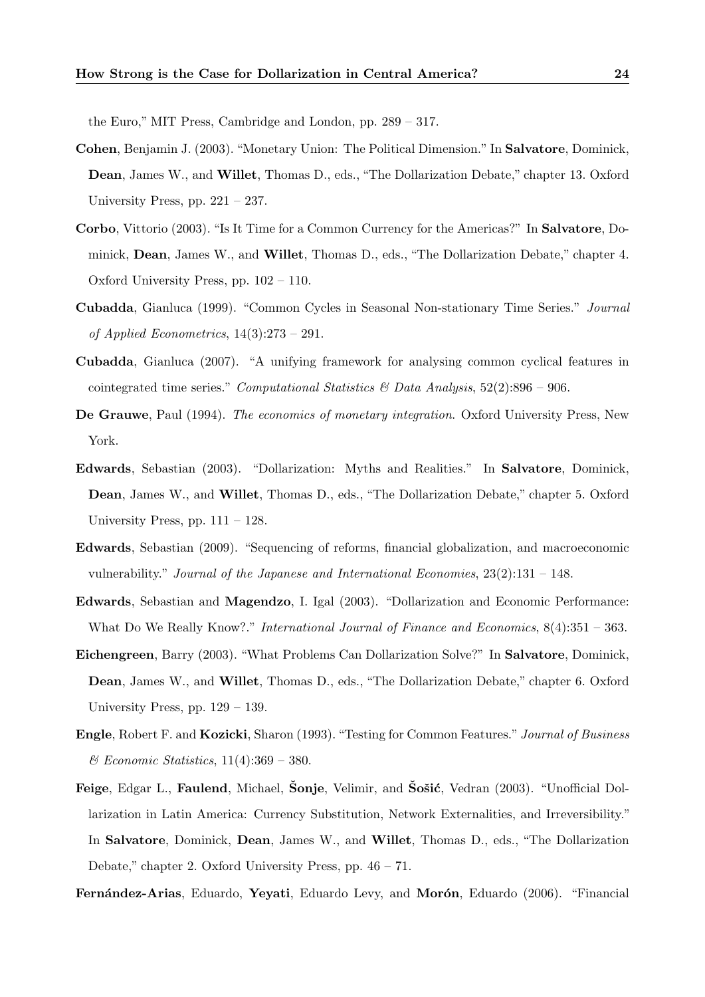the Euro," MIT Press, Cambridge and London, pp. 289 – 317.

- Cohen, Benjamin J. (2003). "Monetary Union: The Political Dimension." In Salvatore, Dominick, Dean, James W., and Willet, Thomas D., eds., "The Dollarization Debate," chapter 13. Oxford University Press, pp. 221 – 237.
- Corbo, Vittorio (2003). "Is It Time for a Common Currency for the Americas?" In Salvatore, Dominick, Dean, James W., and Willet, Thomas D., eds., "The Dollarization Debate," chapter 4. Oxford University Press, pp. 102 – 110.
- Cubadda, Gianluca (1999). "Common Cycles in Seasonal Non-stationary Time Series." Journal of Applied Econometrics, 14(3):273 – 291.
- Cubadda, Gianluca (2007). "A unifying framework for analysing common cyclical features in cointegrated time series." Computational Statistics  $\mathcal B$  Data Analysis, 52(2):896 – 906.
- De Grauwe, Paul (1994). The economics of monetary integration. Oxford University Press, New York.
- Edwards, Sebastian (2003). "Dollarization: Myths and Realities." In Salvatore, Dominick, Dean, James W., and Willet, Thomas D., eds., "The Dollarization Debate," chapter 5. Oxford University Press, pp.  $111 - 128$ .
- Edwards, Sebastian (2009). "Sequencing of reforms, financial globalization, and macroeconomic vulnerability." Journal of the Japanese and International Economies,  $23(2):131 - 148$ .
- Edwards, Sebastian and Magendzo, I. Igal (2003). "Dollarization and Economic Performance: What Do We Really Know?." International Journal of Finance and Economics,  $8(4):351 - 363$ .
- Eichengreen, Barry (2003). "What Problems Can Dollarization Solve?" In Salvatore, Dominick, Dean, James W., and Willet, Thomas D., eds., "The Dollarization Debate," chapter 6. Oxford University Press, pp. 129 – 139.
- Engle, Robert F. and Kozicki, Sharon (1993). "Testing for Common Features." Journal of Business & Economic Statistics, 11(4):369 – 380.
- Feige, Edgar L., Faulend, Michael, Sonje, Velimir, and Sošić, Vedran (2003). "Unofficial Dollarization in Latin America: Currency Substitution, Network Externalities, and Irreversibility." In Salvatore, Dominick, Dean, James W., and Willet, Thomas D., eds., "The Dollarization Debate," chapter 2. Oxford University Press, pp. 46 – 71.

Fernández-Arias, Eduardo, Yevati, Eduardo Levy, and Morón, Eduardo (2006). "Financial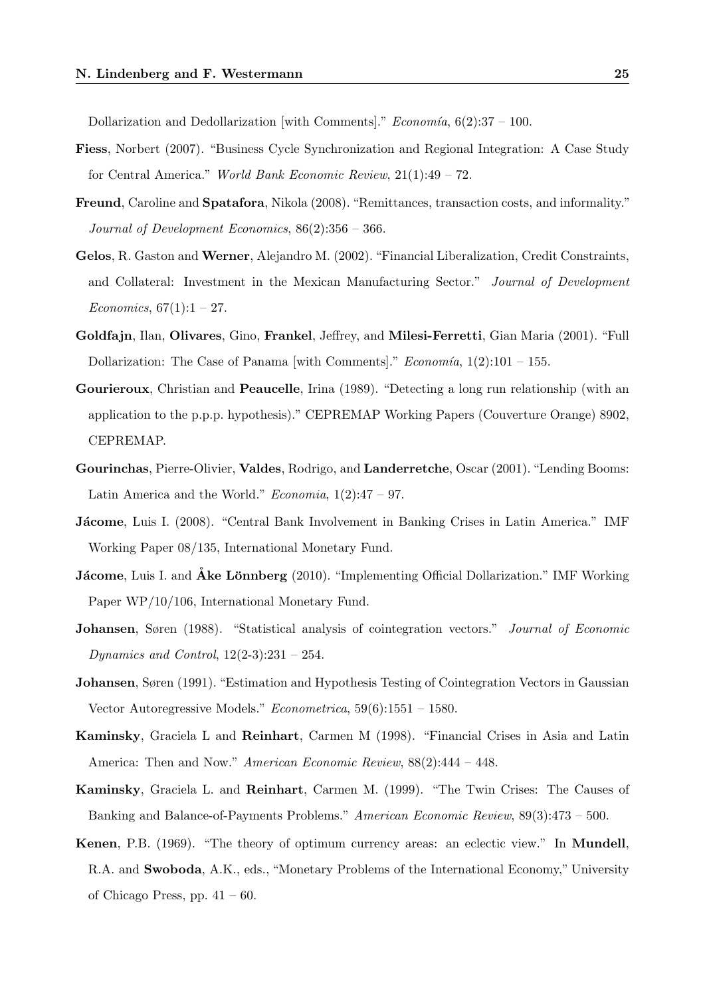Dollarization and Dedollarization [with Comments]."  $Economia$ ,  $6(2):37-100$ .

- Fiess, Norbert (2007). "Business Cycle Synchronization and Regional Integration: A Case Study for Central America." World Bank Economic Review, 21(1):49 – 72.
- Freund, Caroline and Spatafora, Nikola (2008). "Remittances, transaction costs, and informality." Journal of Development Economics, 86(2):356 – 366.
- Gelos, R. Gaston and Werner, Alejandro M. (2002). "Financial Liberalization, Credit Constraints, and Collateral: Investment in the Mexican Manufacturing Sector." Journal of Development *Economics*,  $67(1):1 - 27$ .
- Goldfajn, Ilan, Olivares, Gino, Frankel, Jeffrey, and Milesi-Ferretti, Gian Maria (2001). "Full Dollarization: The Case of Panama [with Comments]." *Economía*,  $1(2):101 - 155$ .
- Gourieroux, Christian and Peaucelle, Irina (1989). "Detecting a long run relationship (with an application to the p.p.p. hypothesis)." CEPREMAP Working Papers (Couverture Orange) 8902, CEPREMAP.
- Gourinchas, Pierre-Olivier, Valdes, Rodrigo, and Landerretche, Oscar (2001). "Lending Booms: Latin America and the World." *Economia*,  $1(2):47 - 97$ .
- Jácome, Luis I. (2008). "Central Bank Involvement in Banking Crises in Latin America." IMF Working Paper 08/135, International Monetary Fund.
- **Jácome**, Luis I. and **Åke Lönnberg** (2010). "Implementing Official Dollarization." IMF Working Paper WP/10/106, International Monetary Fund.
- Johansen, Søren (1988). "Statistical analysis of cointegration vectors." Journal of Economic Dynamics and Control,  $12(2-3):231 - 254$ .
- Johansen, Søren (1991). "Estimation and Hypothesis Testing of Cointegration Vectors in Gaussian Vector Autoregressive Models." Econometrica, 59(6):1551 – 1580.
- Kaminsky, Graciela L and Reinhart, Carmen M (1998). "Financial Crises in Asia and Latin America: Then and Now." American Economic Review, 88(2):444 – 448.
- Kaminsky, Graciela L. and Reinhart, Carmen M. (1999). "The Twin Crises: The Causes of Banking and Balance-of-Payments Problems." American Economic Review, 89(3):473 – 500.
- Kenen, P.B. (1969). "The theory of optimum currency areas: an eclectic view." In Mundell, R.A. and Swoboda, A.K., eds., "Monetary Problems of the International Economy," University of Chicago Press, pp.  $41 - 60$ .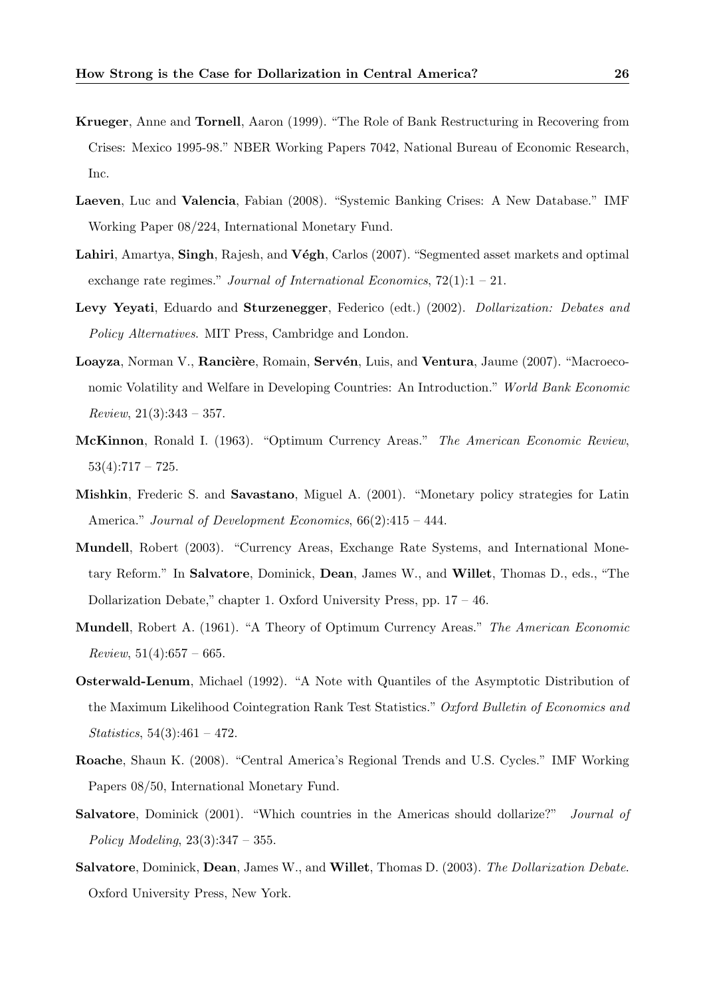- Krueger, Anne and Tornell, Aaron (1999). "The Role of Bank Restructuring in Recovering from Crises: Mexico 1995-98." NBER Working Papers 7042, National Bureau of Economic Research, Inc.
- Laeven, Luc and Valencia, Fabian (2008). "Systemic Banking Crises: A New Database." IMF Working Paper 08/224, International Monetary Fund.
- Lahiri, Amartya, Singh, Rajesh, and Végh, Carlos (2007). "Segmented asset markets and optimal exchange rate regimes." Journal of International Economics,  $72(1):1-21$ .
- Levy Yeyati, Eduardo and Sturzenegger, Federico (edt.) (2002). Dollarization: Debates and Policy Alternatives. MIT Press, Cambridge and London.
- Loayza, Norman V., Rancière, Romain, Servén, Luis, and Ventura, Jaume (2007). "Macroeconomic Volatility and Welfare in Developing Countries: An Introduction." World Bank Economic  $Review, 21(3):343-357.$
- McKinnon, Ronald I. (1963). "Optimum Currency Areas." The American Economic Review,  $53(4):717 - 725.$
- Mishkin, Frederic S. and Savastano, Miguel A. (2001). "Monetary policy strategies for Latin America." Journal of Development Economics,  $66(2):415 - 444$ .
- Mundell, Robert (2003). "Currency Areas, Exchange Rate Systems, and International Monetary Reform." In Salvatore, Dominick, Dean, James W., and Willet, Thomas D., eds., "The Dollarization Debate," chapter 1. Oxford University Press, pp. 17 – 46.
- Mundell, Robert A. (1961). "A Theory of Optimum Currency Areas." The American Economic  $Review, 51(4):657-665.$
- Osterwald-Lenum, Michael (1992). "A Note with Quantiles of the Asymptotic Distribution of the Maximum Likelihood Cointegration Rank Test Statistics." Oxford Bulletin of Economics and  $Statistics, 54(3):461 - 472.$
- Roache, Shaun K. (2008). "Central America's Regional Trends and U.S. Cycles." IMF Working Papers 08/50, International Monetary Fund.
- Salvatore, Dominick (2001). "Which countries in the Americas should dollarize?" Journal of Policy Modeling,  $23(3):347 - 355$ .
- Salvatore, Dominick, Dean, James W., and Willet, Thomas D. (2003). The Dollarization Debate. Oxford University Press, New York.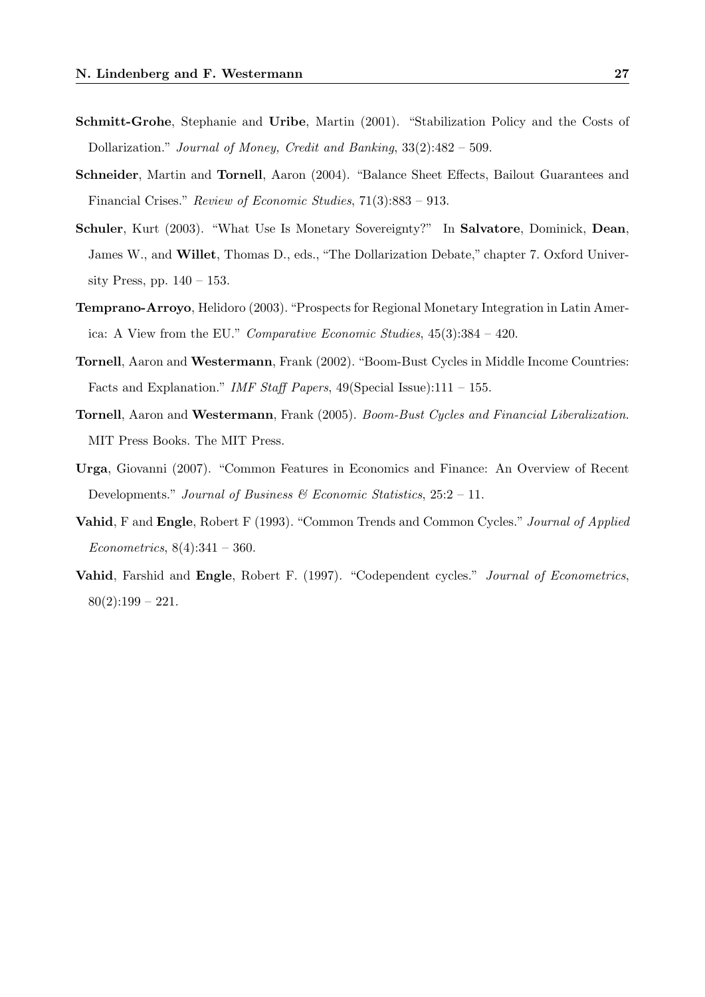- Schmitt-Grohe, Stephanie and Uribe, Martin (2001). "Stabilization Policy and the Costs of Dollarization." Journal of Money, Credit and Banking, 33(2):482 – 509.
- Schneider, Martin and Tornell, Aaron (2004). "Balance Sheet Effects, Bailout Guarantees and Financial Crises." Review of Economic Studies, 71(3):883 – 913.
- Schuler, Kurt (2003). "What Use Is Monetary Sovereignty?" In Salvatore, Dominick, Dean, James W., and Willet, Thomas D., eds., "The Dollarization Debate," chapter 7. Oxford University Press, pp.  $140 - 153$ .
- Temprano-Arroyo, Helidoro (2003). "Prospects for Regional Monetary Integration in Latin America: A View from the EU." Comparative Economic Studies, 45(3):384 – 420.
- Tornell, Aaron and Westermann, Frank (2002). "Boom-Bust Cycles in Middle Income Countries: Facts and Explanation." IMF Staff Papers, 49(Special Issue):111 – 155.
- Tornell, Aaron and Westermann, Frank (2005). Boom-Bust Cycles and Financial Liberalization. MIT Press Books. The MIT Press.
- Urga, Giovanni (2007). "Common Features in Economics and Finance: An Overview of Recent Developments." Journal of Business  $\mathcal C$  Economic Statistics, 25:2 – 11.
- Vahid, F and Engle, Robert F (1993). "Common Trends and Common Cycles." Journal of Applied Econometrics,  $8(4):341 - 360$ .
- Vahid, Farshid and Engle, Robert F. (1997). "Codependent cycles." Journal of Econometrics,  $80(2):199 - 221.$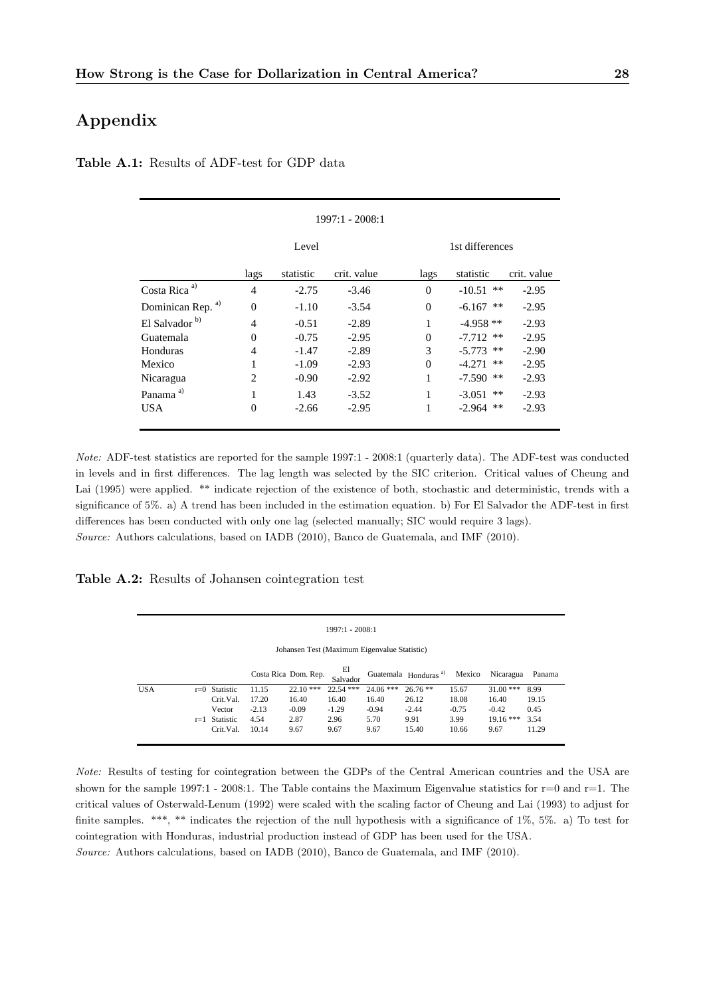# Appendix

|                              |                |           | 1997:1 - 2008:1 |          |                 |             |
|------------------------------|----------------|-----------|-----------------|----------|-----------------|-------------|
|                              |                | Level     |                 |          | 1st differences |             |
|                              | lags           | statistic | crit. value     | lags     | statistic       | crit. value |
| Costa Rica <sup>a)</sup>     | $\overline{4}$ | $-2.75$   | $-3.46$         | $\Omega$ | $-10.51$ **     | $-2.95$     |
| Dominican Rep. <sup>a)</sup> | $\overline{0}$ | $-1.10$   | $-3.54$         | $\Omega$ | **<br>$-6.167$  | $-2.95$     |
| El Salvador <sup>b)</sup>    | 4              | $-0.51$   | $-2.89$         |          | $-4.958**$      | $-2.93$     |
| Guatemala                    | $\theta$       | $-0.75$   | $-2.95$         | $\Omega$ | $-7.712$ **     | $-2.95$     |
| Honduras                     | 4              | $-1.47$   | $-2.89$         | 3        | $-5.773$ **     | $-2.90$     |
| Mexico                       | 1              | $-1.09$   | $-2.93$         | $\Omega$ | $-4.271$ **     | $-2.95$     |
| Nicaragua                    | 2              | $-0.90$   | $-2.92$         | 1        | -7.590<br>**    | $-2.93$     |
| Panama <sup>a)</sup>         | $\mathbf{1}$   | 1.43      | $-3.52$         | 1        | $-3.051$<br>**  | $-2.93$     |
| USA.                         | $\overline{0}$ | $-2.66$   | $-2.95$         |          | $-2.964$<br>**  | $-2.93$     |
|                              |                |           |                 |          |                 |             |

Table A.1: Results of ADF-test for GDP data

Note: ADF-test statistics are reported for the sample 1997:1 - 2008:1 (quarterly data). The ADF-test was conducted in levels and in first differences. The lag length was selected by the SIC criterion. Critical values of Cheung and Lai (1995) were applied. \*\* indicate rejection of the existence of both, stochastic and deterministic, trends with a significance of 5%. a) A trend has been included in the estimation equation. b) For El Salvador the ADF-test in first differences has been conducted with only one lag (selected manually; SIC would require 3 lags). Source: Authors calculations, based on IADB (2010), Banco de Guatemala, and IMF (2010).

Table A.2: Results of Johansen cointegration test

|            | $1997:1 - 2008:1$                            |                 |         |                      |                |             |                                  |         |             |        |
|------------|----------------------------------------------|-----------------|---------|----------------------|----------------|-------------|----------------------------------|---------|-------------|--------|
|            | Johansen Test (Maximum Eigenvalue Statistic) |                 |         |                      |                |             |                                  |         |             |        |
|            |                                              |                 |         | Costa Rica Dom. Rep. | El<br>Salvador |             | Guatemala Honduras <sup>a)</sup> | Mexico  | Nicaragua   | Panama |
| <b>USA</b> |                                              | $r=0$ Statistic | 11.15   | $22.10$ ***          | $22.54$ ***    | $24.06$ *** | $26.76**$                        | 15.67   | $31.00$ *** | 8.99   |
|            |                                              | Crit.Val.       | 17.20   | 16.40                | 16.40          | 16.40       | 26.12                            | 18.08   | 16.40       | 19.15  |
|            |                                              | Vector          | $-2.13$ | $-0.09$              | $-1.29$        | $-0.94$     | $-2.44$                          | $-0.75$ | $-0.42$     | 0.45   |
|            |                                              | $r=1$ Statistic | 4.54    | 2.87                 | 2.96           | 5.70        | 9.91                             | 3.99    | $19.16***$  | 3.54   |
|            |                                              | Crit.Val.       | 10.14   | 9.67                 | 9.67           | 9.67        | 15.40                            | 10.66   | 9.67        | 11.29  |

Note: Results of testing for cointegration between the GDPs of the Central American countries and the USA are shown for the sample 1997:1 - 2008:1. The Table contains the Maximum Eigenvalue statistics for  $r=0$  and  $r=1$ . The critical values of Osterwald-Lenum (1992) were scaled with the scaling factor of Cheung and Lai (1993) to adjust for finite samples. \*\*\*, \*\* indicates the rejection of the null hypothesis with a significance of 1%, 5%. a) To test for cointegration with Honduras, industrial production instead of GDP has been used for the USA. Source: Authors calculations, based on IADB (2010), Banco de Guatemala, and IMF (2010).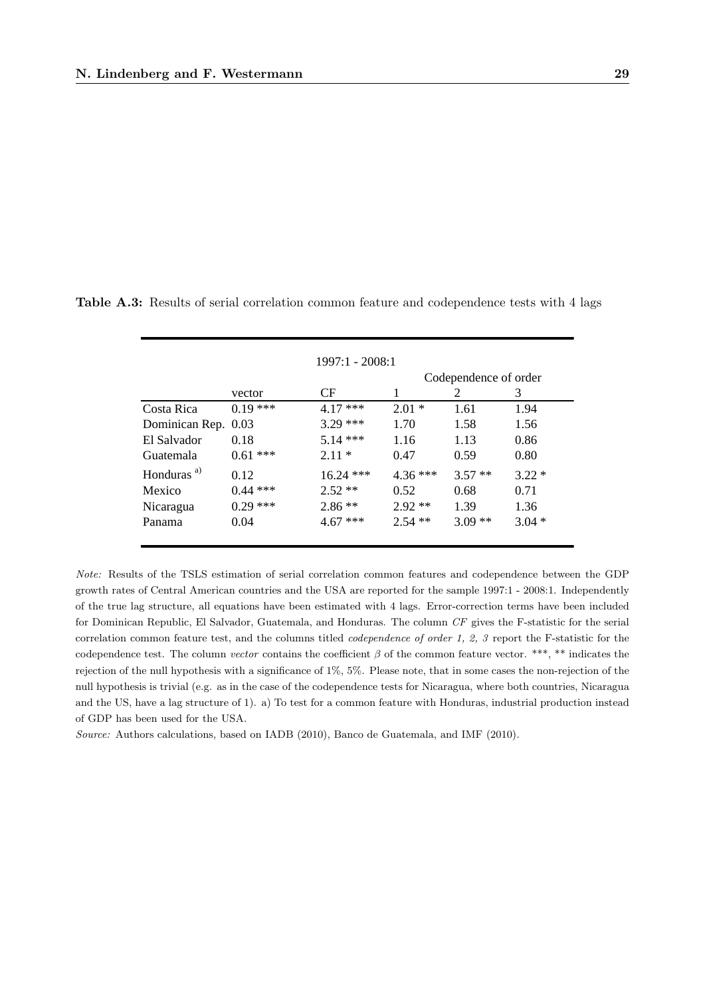|                        |            | $1997:1 - 2008:1$ |           |                       |         |
|------------------------|------------|-------------------|-----------|-----------------------|---------|
|                        |            |                   |           | Codependence of order |         |
|                        | vector     | CF                | 1         | 2                     | 3       |
| Costa Rica             | $0.19***$  | $4.17***$         | $2.01*$   | 1.61                  | 1.94    |
| Dominican Rep. 0.03    |            | $3.29$ ***        | 1.70      | 1.58                  | 1.56    |
| El Salvador            | 0.18       | $5.14***$         | 1.16      | 1.13                  | 0.86    |
| Guatemala              | $0.61$ *** | $2.11*$           | 0.47      | 0.59                  | 0.80    |
| Honduras <sup>a)</sup> | 0.12       | $16.24$ ***       | $4.36***$ | $3.57**$              | $3.22*$ |
| Mexico                 | $0.44$ *** | $2.52**$          | 0.52      | 0.68                  | 0.71    |
| Nicaragua              | $0.29$ *** | $2.86**$          | $2.92**$  | 1.39                  | 1.36    |
| Panama                 | 0.04       | $4.67***$         | $2.54$ ** | $3.09**$              | $3.04*$ |

Table A.3: Results of serial correlation common feature and codependence tests with 4 lags

Note: Results of the TSLS estimation of serial correlation common features and codependence between the GDP growth rates of Central American countries and the USA are reported for the sample 1997:1 - 2008:1. Independently of the true lag structure, all equations have been estimated with 4 lags. Error-correction terms have been included for Dominican Republic, El Salvador, Guatemala, and Honduras. The column CF gives the F-statistic for the serial correlation common feature test, and the columns titled *codependence of order 1, 2, 3* report the F-statistic for the codependence test. The column vector contains the coefficient  $\beta$  of the common feature vector. \*\*\*, \*\* indicates the rejection of the null hypothesis with a significance of 1%, 5%. Please note, that in some cases the non-rejection of the null hypothesis is trivial (e.g. as in the case of the codependence tests for Nicaragua, where both countries, Nicaragua and the US, have a lag structure of 1). a) To test for a common feature with Honduras, industrial production instead of GDP has been used for the USA.

Source: Authors calculations, based on IADB (2010), Banco de Guatemala, and IMF (2010).